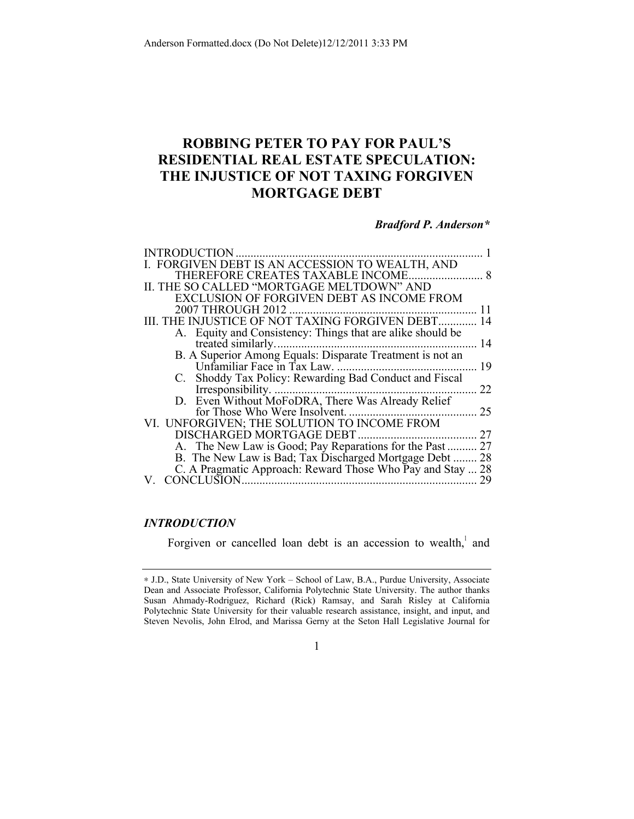# **ROBBING PETER TO PAY FOR PAUL'S RESIDENTIAL REAL ESTATE SPECULATION: THE INJUSTICE OF NOT TAXING FORGIVEN MORTGAGE DEBT**

# *Bradford P. Anderson\**

| <b>INTRODUCTION</b>                                        |    |
|------------------------------------------------------------|----|
| I. FORGIVEN DEBT IS AN ACCESSION TO WEALTH, AND            |    |
| THEREFORE CREATES TAXABLE INCOME                           | 8  |
| II. THE SO CALLED "MORTGAGE MELTDOWN" AND                  |    |
| <b>EXCLUSION OF FORGIVEN DEBT AS INCOME FROM</b>           |    |
| <b>2007 THROUGH 2012</b>                                   | 11 |
| III. THE INJUSTICE OF NOT TAXING FORGIVEN DEBT             | 14 |
| A. Equity and Consistency: Things that are alike should be |    |
| treated similarly.                                         | 14 |
| B. A Superior Among Equals: Disparate Treatment is not an  |    |
| Unfamiliar Face in Tax Law.                                | 19 |
| C. Shoddy Tax Policy: Rewarding Bad Conduct and Fiscal     |    |
| Irresponsibility.                                          | 22 |
| D. Even Without MoFoDRA, There Was Already Relief          |    |
| for Those Who Were Insolvent.                              | 25 |
| VI. UNFORGIVEN; THE SOLUTION TO INCOME FROM                |    |
| DISCHARGED MORTGAGE DEBT                                   | 27 |
| A. The New Law is Good; Pay Reparations for the Past       | 27 |
| B. The New Law is Bad; Tax Discharged Mortgage Debt        | 28 |
| C. A Pragmatic Approach: Reward Those Who Pay and Stay  28 |    |
| <b>CONCLUSION</b>                                          | 29 |

# *INTRODUCTION*

Forgiven or cancelled loan debt is an accession to wealth, and

1

<sup>∗</sup> J.D., State University of New York – School of Law, B.A., Purdue University, Associate Dean and Associate Professor, California Polytechnic State University. The author thanks Susan Ahmady-Rodriguez, Richard (Rick) Ramsay, and Sarah Risley at California Polytechnic State University for their valuable research assistance, insight, and input, and Steven Nevolis, John Elrod, and Marissa Gerny at the Seton Hall Legislative Journal for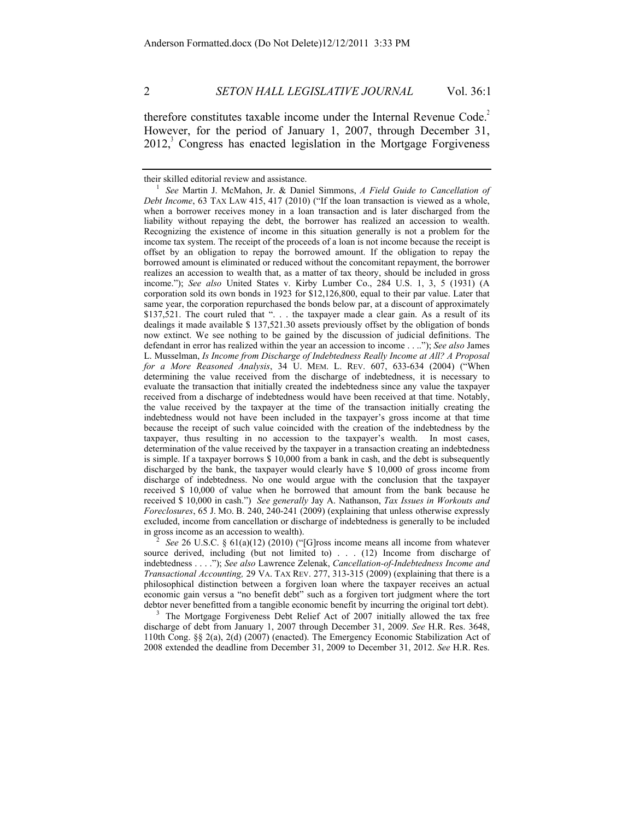therefore constitutes taxable income under the Internal Revenue Code.<sup>2</sup> However, for the period of January 1, 2007, through December 31,  $2012$ , Congress has enacted legislation in the Mortgage Forgiveness

source derived, including (but not limited to) . . . (12) Income from discharge of indebtedness . . . ."); *See also* Lawrence Zelenak, *Cancellation-of-Indebtedness Income and Transactional Accounting,* 29 VA. TAX REV. 277, 313-315 (2009) (explaining that there is a philosophical distinction between a forgiven loan where the taxpayer receives an actual economic gain versus a "no benefit debt" such as a forgiven tort judgment where the tort debtor never benefitted from a tangible economic benefit by incurring the original tort debt).<br><sup>3</sup> The Mortgage Forgiveness Debt Relief Act of 2007 initially allowed the tax free

discharge of debt from January 1, 2007 through December 31, 2009. *See* H.R. Res. 3648, 110th Cong. §§ 2(a), 2(d) (2007) (enacted). The Emergency Economic Stabilization Act of 2008 extended the deadline from December 31, 2009 to December 31, 2012. *See* H.R. Res.

their skilled editorial review and assistance. 1 *See* Martin J. McMahon, Jr. & Daniel Simmons, *A Field Guide to Cancellation of Debt Income*, 63 TAX LAW 415, 417 (2010) ("If the loan transaction is viewed as a whole, when a borrower receives money in a loan transaction and is later discharged from the liability without repaying the debt, the borrower has realized an accession to wealth. Recognizing the existence of income in this situation generally is not a problem for the income tax system. The receipt of the proceeds of a loan is not income because the receipt is offset by an obligation to repay the borrowed amount. If the obligation to repay the borrowed amount is eliminated or reduced without the concomitant repayment, the borrower realizes an accession to wealth that, as a matter of tax theory, should be included in gross income."); *See also* United States v. Kirby Lumber Co., 284 U.S. 1, 3, 5 (1931) (A corporation sold its own bonds in 1923 for \$12,126,800, equal to their par value. Later that same year, the corporation repurchased the bonds below par, at a discount of approximately \$137,521. The court ruled that ". . . the taxpayer made a clear gain. As a result of its dealings it made available \$ 137,521.30 assets previously offset by the obligation of bonds now extinct. We see nothing to be gained by the discussion of judicial definitions. The defendant in error has realized within the year an accession to income . . .."); *See also* James L. Musselman, *Is Income from Discharge of Indebtedness Really Income at All? A Proposal for a More Reasoned Analysis*, 34 U. MEM. L. REV. 607, 633-634 (2004) ("When determining the value received from the discharge of indebtedness, it is necessary to evaluate the transaction that initially created the indebtedness since any value the taxpayer received from a discharge of indebtedness would have been received at that time. Notably, the value received by the taxpayer at the time of the transaction initially creating the indebtedness would not have been included in the taxpayer's gross income at that time because the receipt of such value coincided with the creation of the indebtedness by the taxpayer, thus resulting in no accession to the taxpayer's wealth. In most cases, determination of the value received by the taxpayer in a transaction creating an indebtedness is simple. If a taxpayer borrows \$ 10,000 from a bank in cash, and the debt is subsequently discharged by the bank, the taxpayer would clearly have \$ 10,000 of gross income from discharge of indebtedness. No one would argue with the conclusion that the taxpayer received \$ 10,000 of value when he borrowed that amount from the bank because he received \$ 10,000 in cash.") *See generally* Jay A. Nathanson, *Tax Issues in Workouts and Foreclosures*, 65 J. MO. B. 240, 240-241 (2009) (explaining that unless otherwise expressly excluded, income from cancellation or discharge of indebtedness is generally to be included in gross income as an accession to wealth). 2 *See* 26 U.S.C. § 61(a)(12) (2010) ("[G]ross income means all income from whatever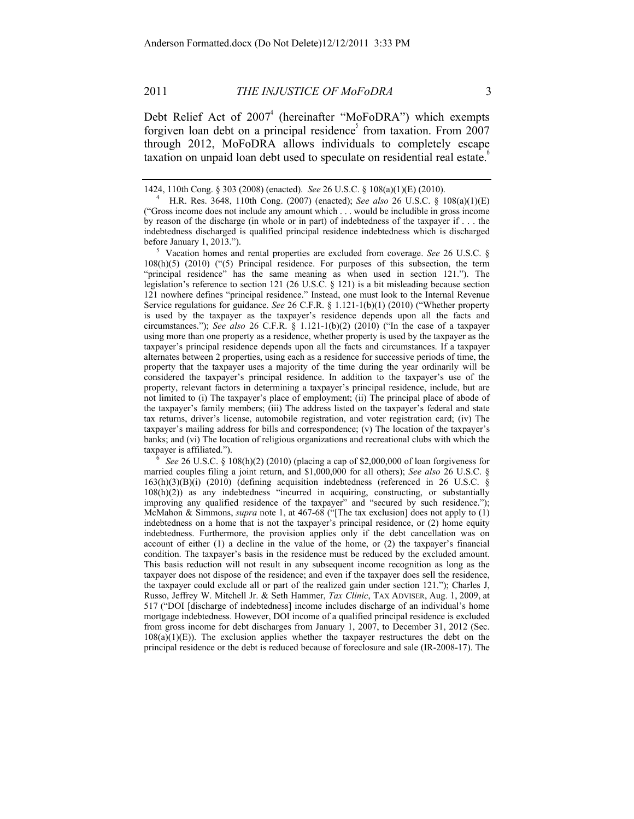Debt Relief Act of  $2007<sup>4</sup>$  (hereinafter "MoFoDRA") which exempts forgiven loan debt on a principal residence<sup>3</sup> from taxation. From 2007 through 2012, MoFoDRA allows individuals to completely escape taxation on unpaid loan debt used to speculate on residential real estate.<sup>6</sup>

taxpayer is affiliated."). 6 *See* 26 U.S.C. § 108(h)(2) (2010) (placing a cap of \$2,000,000 of loan forgiveness for married couples filing a joint return, and \$1,000,000 for all others); *See also* 26 U.S.C. § 163(h)(3)(B)(i) (2010) (defining acquisition indebtedness (referenced in 26 U.S.C. § 108(h)(2)) as any indebtedness "incurred in acquiring, constructing, or substantially improving any qualified residence of the taxpayer" and "secured by such residence."); McMahon & Simmons, *supra* note 1, at 467-68 ("[The tax exclusion] does not apply to (1) indebtedness on a home that is not the taxpayer's principal residence, or (2) home equity indebtedness. Furthermore, the provision applies only if the debt cancellation was on account of either (1) a decline in the value of the home, or (2) the taxpayer's financial condition. The taxpayer's basis in the residence must be reduced by the excluded amount. This basis reduction will not result in any subsequent income recognition as long as the taxpayer does not dispose of the residence; and even if the taxpayer does sell the residence, the taxpayer could exclude all or part of the realized gain under section 121."); Charles J, Russo, Jeffrey W. Mitchell Jr. & Seth Hammer, *Tax Clinic*, TAX ADVISER, Aug. 1, 2009, at 517 ("DOI [discharge of indebtedness] income includes discharge of an individual's home mortgage indebtedness. However, DOI income of a qualified principal residence is excluded from gross income for debt discharges from January 1, 2007, to December 31, 2012 (Sec.  $108(a)(1)(E)$ ). The exclusion applies whether the taxpayer restructures the debt on the principal residence or the debt is reduced because of foreclosure and sale (IR-2008-17). The

<sup>1424, 110</sup>th Cong. § 303 (2008) (enacted). *See* 26 U.S.C. § 108(a)(1)(E) (2010). 4 H.R. Res. 3648, 110th Cong. (2007) (enacted); *See also* 26 U.S.C. § 108(a)(1)(E) ("Gross income does not include any amount which . . . would be includible in gross income by reason of the discharge (in whole or in part) of indebtedness of the taxpayer if . . . the indebtedness discharged is qualified principal residence indebtedness which is discharged

before January 1, 2013.").<br><sup>5</sup> Vacation homes and rental properties are excluded from coverage. *See* 26 U.S.C. § 108(h)(5) (2010) ("(5) Principal residence. For purposes of this subsection, the term "principal residence" has the same meaning as when used in section 121."). The legislation's reference to section 121 (26 U.S.C. § 121) is a bit misleading because section 121 nowhere defines "principal residence." Instead, one must look to the Internal Revenue Service regulations for guidance. *See* 26 C.F.R. § 1.121-1(b)(1) (2010) ("Whether property is used by the taxpayer as the taxpayer's residence depends upon all the facts and circumstances."); *See also* 26 C.F.R. § 1.121-1(b)(2) (2010) ("In the case of a taxpayer using more than one property as a residence, whether property is used by the taxpayer as the taxpayer's principal residence depends upon all the facts and circumstances. If a taxpayer alternates between 2 properties, using each as a residence for successive periods of time, the property that the taxpayer uses a majority of the time during the year ordinarily will be considered the taxpayer's principal residence. In addition to the taxpayer's use of the property, relevant factors in determining a taxpayer's principal residence, include, but are not limited to (i) The taxpayer's place of employment; (ii) The principal place of abode of the taxpayer's family members; (iii) The address listed on the taxpayer's federal and state tax returns, driver's license, automobile registration, and voter registration card; (iv) The taxpayer's mailing address for bills and correspondence; (v) The location of the taxpayer's banks; and (vi) The location of religious organizations and recreational clubs with which the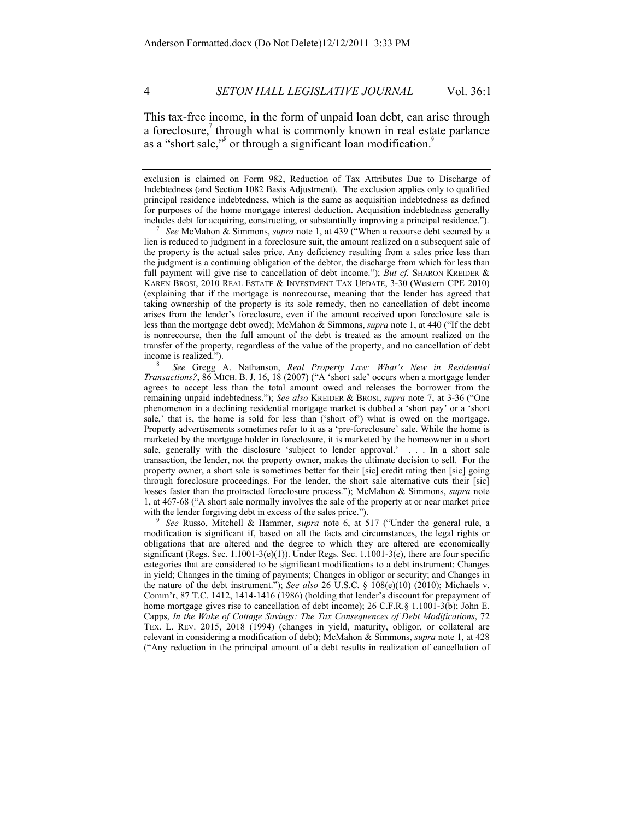This tax-free income, in the form of unpaid loan debt, can arise through a foreclosure, $\alpha$  through what is commonly known in real estate parlance as a "short sale," $\delta$  or through a significant loan modification.

exclusion is claimed on Form 982, Reduction of Tax Attributes Due to Discharge of Indebtedness (and Section 1082 Basis Adjustment). The exclusion applies only to qualified principal residence indebtedness, which is the same as acquisition indebtedness as defined for purposes of the home mortgage interest deduction. Acquisition indebtedness generally includes debt for acquiring, constructing, or substantially improving a principal residence."). 7 *See* McMahon & Simmons, *supra* note 1, at 439 ("When a recourse debt secured by a

lien is reduced to judgment in a foreclosure suit, the amount realized on a subsequent sale of the property is the actual sales price. Any deficiency resulting from a sales price less than the judgment is a continuing obligation of the debtor, the discharge from which for less than full payment will give rise to cancellation of debt income."); *But cf.* SHARON KREIDER & KAREN BROSI, 2010 REAL ESTATE & INVESTMENT TAX UPDATE, 3-30 (Western CPE 2010) (explaining that if the mortgage is nonrecourse, meaning that the lender has agreed that taking ownership of the property is its sole remedy, then no cancellation of debt income arises from the lender's foreclosure, even if the amount received upon foreclosure sale is less than the mortgage debt owed); McMahon & Simmons, *supra* note 1, at 440 ("If the debt is nonrecourse, then the full amount of the debt is treated as the amount realized on the transfer of the property, regardless of the value of the property, and no cancellation of debt income is realized."). 8 *See* Gregg A. Nathanson, *Real Property Law: What's New in Residential* 

*Transactions?*, 86 MICH. B. J. 16, 18 (2007) ("A 'short sale' occurs when a mortgage lender agrees to accept less than the total amount owed and releases the borrower from the remaining unpaid indebtedness."); *See also* KREIDER & BROSI, *supra* note 7, at 3-36 ("One phenomenon in a declining residential mortgage market is dubbed a 'short pay' or a 'short sale,' that is, the home is sold for less than ('short of') what is owed on the mortgage. Property advertisements sometimes refer to it as a 'pre-foreclosure' sale. While the home is marketed by the mortgage holder in foreclosure, it is marketed by the homeowner in a short sale, generally with the disclosure 'subject to lender approval.' . . . In a short sale transaction, the lender, not the property owner, makes the ultimate decision to sell. For the property owner, a short sale is sometimes better for their [sic] credit rating then [sic] going through foreclosure proceedings. For the lender, the short sale alternative cuts their [sic] losses faster than the protracted foreclosure process."); McMahon & Simmons, *supra* note 1, at 467-68 ("A short sale normally involves the sale of the property at or near market price with the lender forgiving debt in excess of the sales price.").<br><sup>9</sup> *See* Russo, Mitchell & Hammer, *supra* note 6, at 517 ("Under the general rule, a

modification is significant if, based on all the facts and circumstances, the legal rights or obligations that are altered and the degree to which they are altered are economically significant (Regs. Sec.  $1.1001-3(e)(1)$ ). Under Regs. Sec.  $1.1001-3(e)$ , there are four specific categories that are considered to be significant modifications to a debt instrument: Changes in yield; Changes in the timing of payments; Changes in obligor or security; and Changes in the nature of the debt instrument."); *See also* 26 U.S.C. § 108(e)(10) (2010); Michaels v. Comm'r, 87 T.C. 1412, 1414-1416 (1986) (holding that lender's discount for prepayment of home mortgage gives rise to cancellation of debt income); 26 C.F.R.§ 1.1001-3(b); John E. Capps, *In the Wake of Cottage Savings: The Tax Consequences of Debt Modifications*, 72 TEX. L. REV. 2015, 2018 (1994) (changes in yield, maturity, obligor, or collateral are relevant in considering a modification of debt); McMahon & Simmons, *supra* note 1, at 428 ("Any reduction in the principal amount of a debt results in realization of cancellation of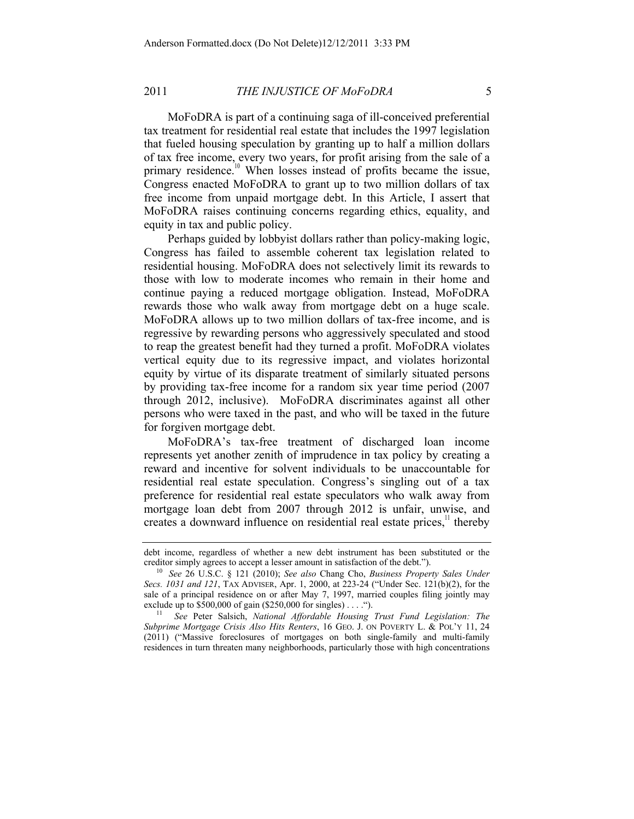MoFoDRA is part of a continuing saga of ill-conceived preferential tax treatment for residential real estate that includes the 1997 legislation that fueled housing speculation by granting up to half a million dollars of tax free income, every two years, for profit arising from the sale of a primary residence.<sup>10</sup> When losses instead of profits became the issue, Congress enacted MoFoDRA to grant up to two million dollars of tax free income from unpaid mortgage debt. In this Article, I assert that MoFoDRA raises continuing concerns regarding ethics, equality, and equity in tax and public policy.

Perhaps guided by lobbyist dollars rather than policy-making logic, Congress has failed to assemble coherent tax legislation related to residential housing. MoFoDRA does not selectively limit its rewards to those with low to moderate incomes who remain in their home and continue paying a reduced mortgage obligation. Instead, MoFoDRA rewards those who walk away from mortgage debt on a huge scale. MoFoDRA allows up to two million dollars of tax-free income, and is regressive by rewarding persons who aggressively speculated and stood to reap the greatest benefit had they turned a profit. MoFoDRA violates vertical equity due to its regressive impact, and violates horizontal equity by virtue of its disparate treatment of similarly situated persons by providing tax-free income for a random six year time period (2007 through 2012, inclusive). MoFoDRA discriminates against all other persons who were taxed in the past, and who will be taxed in the future for forgiven mortgage debt.

MoFoDRA's tax-free treatment of discharged loan income represents yet another zenith of imprudence in tax policy by creating a reward and incentive for solvent individuals to be unaccountable for residential real estate speculation. Congress's singling out of a tax preference for residential real estate speculators who walk away from mortgage loan debt from 2007 through 2012 is unfair, unwise, and creates a downward influence on residential real estate prices, $\frac{11}{11}$  thereby

debt income, regardless of whether a new debt instrument has been substituted or the creditor simply agrees to accept a lesser amount in satisfaction of the debt."). creditor simply agrees to accept a lesser amount in satisfaction of the debt."). 10 *See* 26 U.S.C. § 121 (2010); *See also* Chang Cho, *Business Property Sales Under* 

*Secs. 1031 and 121*, TAX ADVISER, Apr. 1, 2000, at 223-24 ("Under Sec. 121(b)(2), for the sale of a principal residence on or after May 7, 1997, married couples filing jointly may exclude up to \$500,000 of gain (\$250,000 for singles) . . . . ...

<sup>&</sup>lt;sup>11</sup> See Peter Salsich, *National Affordable Housing Trust Fund Legislation: The Subprime Mortgage Crisis Also Hits Renters*, 16 GEO. J. ON POVERTY L. & POL'Y 11, 24 (2011) ("Massive foreclosures of mortgages on both single-family and multi-family residences in turn threaten many neighborhoods, particularly those with high concentrations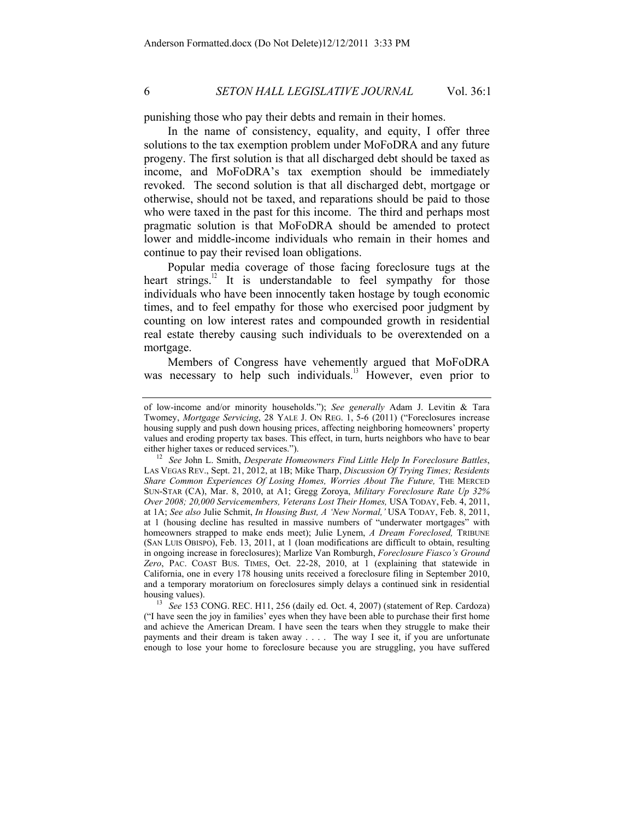punishing those who pay their debts and remain in their homes.

In the name of consistency, equality, and equity, I offer three solutions to the tax exemption problem under MoFoDRA and any future progeny. The first solution is that all discharged debt should be taxed as income, and MoFoDRA's tax exemption should be immediately revoked. The second solution is that all discharged debt, mortgage or otherwise, should not be taxed, and reparations should be paid to those who were taxed in the past for this income. The third and perhaps most pragmatic solution is that MoFoDRA should be amended to protect lower and middle-income individuals who remain in their homes and continue to pay their revised loan obligations.

Popular media coverage of those facing foreclosure tugs at the heart strings.<sup>12</sup> It is understandable to feel sympathy for those individuals who have been innocently taken hostage by tough economic times, and to feel empathy for those who exercised poor judgment by counting on low interest rates and compounded growth in residential real estate thereby causing such individuals to be overextended on a mortgage.

Members of Congress have vehemently argued that MoFoDRA was necessary to help such individuals.<sup>13</sup> However, even prior to

("I have seen the joy in families' eyes when they have been able to purchase their first home and achieve the American Dream. I have seen the tears when they struggle to make their payments and their dream is taken away . . . . The way I see it, if you are unfortunate enough to lose your home to foreclosure because you are struggling, you have suffered

of low-income and/or minority households."); *See generally* Adam J. Levitin & Tara Twomey, *Mortgage Servicing*, 28 YALE J. ON REG. 1, 5-6 (2011) ("Foreclosures increase housing supply and push down housing prices, affecting neighboring homeowners' property values and eroding property tax bases. This effect, in turn, hurts neighbors who have to bear either higher taxes or reduced services."). 12 *See* John L. Smith, *Desperate Homeowners Find Little Help In Foreclosure Battles*,

LAS VEGAS REV., Sept. 21, 2012, at 1B; Mike Tharp, *Discussion Of Trying Times; Residents*  Share Common Experiences Of Losing Homes, Worries About The Future, THE MERCED SUN-STAR (CA), Mar. 8, 2010, at A1; Gregg Zoroya, *Military Foreclosure Rate Up 32% Over 2008; 20,000 Servicemembers, Veterans Lost Their Homes,* USA TODAY, Feb. 4, 2011, at 1A; *See also* Julie Schmit, *In Housing Bust, A 'New Normal,'* USA TODAY, Feb. 8, 2011, at 1 (housing decline has resulted in massive numbers of "underwater mortgages" with homeowners strapped to make ends meet); Julie Lynem, *A Dream Foreclosed,* TRIBUNE (SAN LUIS OBISPO), Feb. 13, 2011, at 1 (loan modifications are difficult to obtain, resulting in ongoing increase in foreclosures); Marlize Van Romburgh, *Foreclosure Fiasco's Ground Zero*, PAC. COAST BUS. TIMES, Oct. 22-28, 2010, at 1 (explaining that statewide in California, one in every 178 housing units received a foreclosure filing in September 2010, and a temporary moratorium on foreclosures simply delays a continued sink in residential housing values). 13 *See* 153 CONG. REC. H11, 256 (daily ed. Oct. 4, 2007) (statement of Rep. Cardoza)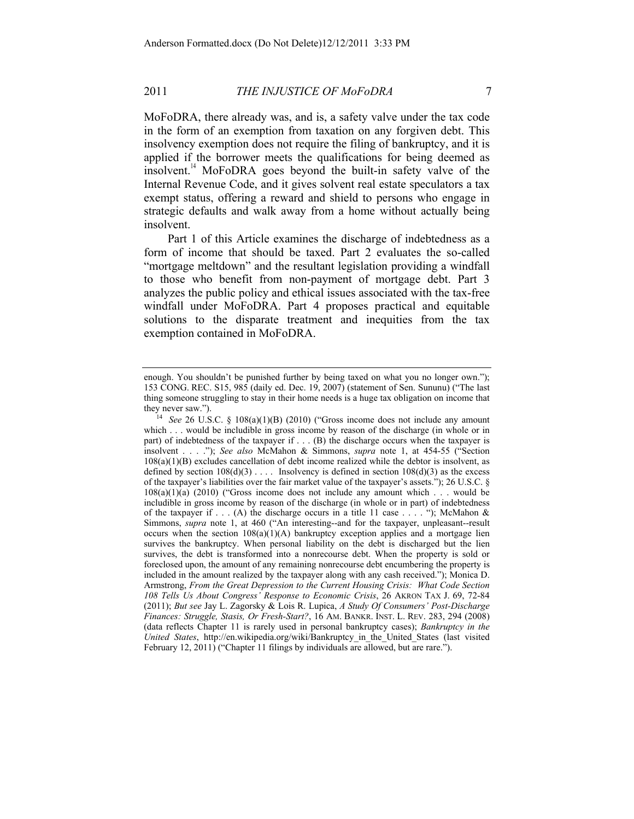MoFoDRA, there already was, and is, a safety valve under the tax code in the form of an exemption from taxation on any forgiven debt. This insolvency exemption does not require the filing of bankruptcy, and it is applied if the borrower meets the qualifications for being deemed as insolvent.<sup>14</sup> MoFoDRA goes beyond the built-in safety valve of the Internal Revenue Code, and it gives solvent real estate speculators a tax exempt status, offering a reward and shield to persons who engage in strategic defaults and walk away from a home without actually being insolvent.

Part 1 of this Article examines the discharge of indebtedness as a form of income that should be taxed. Part 2 evaluates the so-called "mortgage meltdown" and the resultant legislation providing a windfall to those who benefit from non-payment of mortgage debt. Part 3 analyzes the public policy and ethical issues associated with the tax-free windfall under MoFoDRA. Part 4 proposes practical and equitable solutions to the disparate treatment and inequities from the tax exemption contained in MoFoDRA.

enough. You shouldn't be punished further by being taxed on what you no longer own."); 153 CONG. REC. S15, 985 (daily ed. Dec. 19, 2007) (statement of Sen. Sununu) ("The last thing someone struggling to stay in their home needs is a huge tax obligation on income that

they never saw."). 14 *See* 26 U.S.C. § 108(a)(1)(B) (2010) ("Gross income does not include any amount which . . . would be includible in gross income by reason of the discharge (in whole or in part) of indebtedness of the taxpayer if . . . (B) the discharge occurs when the taxpayer is insolvent . . . ."); *See also* McMahon & Simmons, *supra* note 1, at 454-55 ("Section  $108(a)(1)(B)$  excludes cancellation of debt income realized while the debtor is insolvent, as defined by section  $108(d)(3)$ .... Insolvency is defined in section  $108(d)(3)$  as the excess of the taxpayer's liabilities over the fair market value of the taxpayer's assets."); 26 U.S.C. § 108(a)(1)(a) (2010) ("Gross income does not include any amount which . . . would be includible in gross income by reason of the discharge (in whole or in part) of indebtedness of the taxpayer if . . . (A) the discharge occurs in a title 11 case . . . . "); McMahon & Simmons, *supra* note 1, at 460 ("An interesting--and for the taxpayer, unpleasant--result occurs when the section  $108(a)(1)(A)$  bankruptcy exception applies and a mortgage lien survives the bankruptcy. When personal liability on the debt is discharged but the lien survives, the debt is transformed into a nonrecourse debt. When the property is sold or foreclosed upon, the amount of any remaining nonrecourse debt encumbering the property is included in the amount realized by the taxpayer along with any cash received."); Monica D. Armstrong, *From the Great Depression to the Current Housing Crisis: What Code Section 108 Tells Us About Congress' Response to Economic Crisis*, 26 AKRON TAX J. 69, 72-84 (2011); *But see* Jay L. Zagorsky & Lois R. Lupica, *A Study Of Consumers' Post-Discharge Finances: Struggle, Stasis, Or Fresh-Start?*, 16 AM. BANKR. INST. L. REV. 283, 294 (2008) (data reflects Chapter 11 is rarely used in personal bankruptcy cases); *Bankruptcy in the United States*, http://en.wikipedia.org/wiki/Bankruptcy\_in\_the\_United\_States (last visited February 12, 2011) ("Chapter 11 filings by individuals are allowed, but are rare.").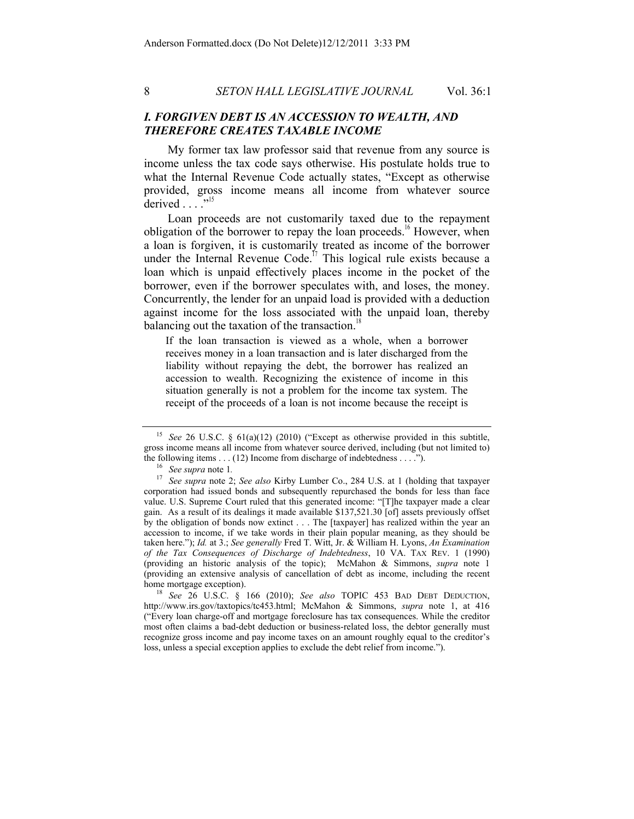# *I. FORGIVEN DEBT IS AN ACCESSION TO WEALTH, AND THEREFORE CREATES TAXABLE INCOME*

My former tax law professor said that revenue from any source is income unless the tax code says otherwise. His postulate holds true to what the Internal Revenue Code actually states, "Except as otherwise provided, gross income means all income from whatever source derived  $\ldots$ <sup>"15</sup>

Loan proceeds are not customarily taxed due to the repayment obligation of the borrower to repay the loan proceeds.<sup>16</sup> However, when a loan is forgiven, it is customarily treated as income of the borrower under the Internal Revenue Code.<sup> $17$ </sup> This logical rule exists because a loan which is unpaid effectively places income in the pocket of the borrower, even if the borrower speculates with, and loses, the money. Concurrently, the lender for an unpaid load is provided with a deduction against income for the loss associated with the unpaid loan, thereby balancing out the taxation of the transaction.<sup>18</sup>

If the loan transaction is viewed as a whole, when a borrower receives money in a loan transaction and is later discharged from the liability without repaying the debt, the borrower has realized an accession to wealth. Recognizing the existence of income in this situation generally is not a problem for the income tax system. The receipt of the proceeds of a loan is not income because the receipt is

http://www.irs.gov/taxtopics/tc453.html; McMahon & Simmons, *supra* note 1, at 416 ("Every loan charge-off and mortgage foreclosure has tax consequences. While the creditor most often claims a bad-debt deduction or business-related loss, the debtor generally must recognize gross income and pay income taxes on an amount roughly equal to the creditor's loss, unless a special exception applies to exclude the debt relief from income.").

<sup>15</sup> *See* 26 U.S.C. § 61(a)(12) (2010) ("Except as otherwise provided in this subtitle, gross income means all income from whatever source derived, including (but not limited to) the following items . . . (12) Income from discharge of indebtedness . . . ."). 16 *See supra* note 1*.*

<sup>17</sup> *See supra* note 2; *See also* Kirby Lumber Co., 284 U.S. at 1 (holding that taxpayer corporation had issued bonds and subsequently repurchased the bonds for less than face value. U.S. Supreme Court ruled that this generated income: "[T]he taxpayer made a clear gain. As a result of its dealings it made available \$137,521.30 [of] assets previously offset by the obligation of bonds now extinct . . . The [taxpayer] has realized within the year an accession to income, if we take words in their plain popular meaning, as they should be taken here."); *Id.* at 3.; *See generally* Fred T. Witt, Jr. & William H. Lyons, *An Examination of the Tax Consequences of Discharge of Indebtedness*, 10 VA. TAX REV. 1 (1990) (providing an historic analysis of the topic); McMahon & Simmons, *supra* note 1 (providing an extensive analysis of cancellation of debt as income, including the recent home mortgage exception). 18 *See* 26 U.S.C. § 166 (2010); *See also* TOPIC 453 BAD DEBT DEDUCTION,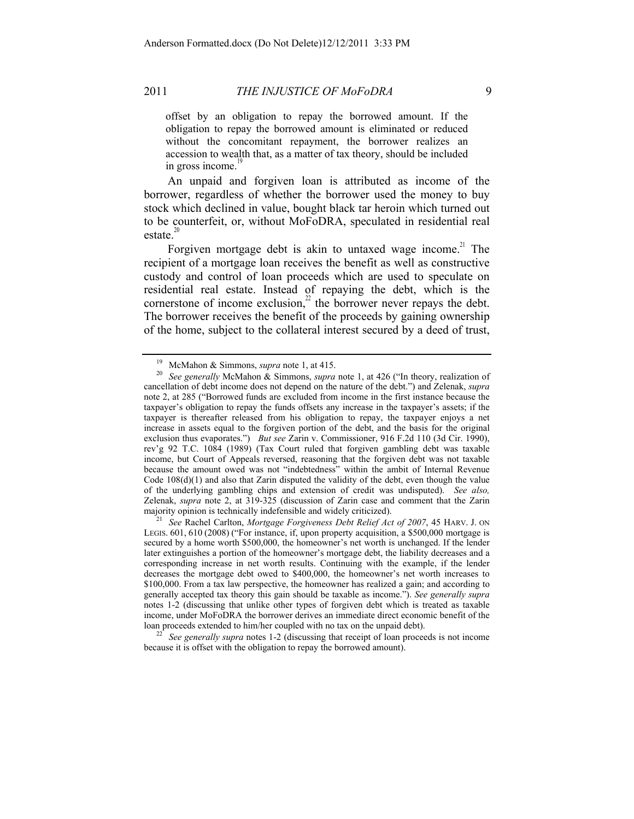offset by an obligation to repay the borrowed amount. If the obligation to repay the borrowed amount is eliminated or reduced without the concomitant repayment, the borrower realizes an accession to wealth that, as a matter of tax theory, should be included in gross income. $\frac{1}{2}$ 

An unpaid and forgiven loan is attributed as income of the borrower, regardless of whether the borrower used the money to buy stock which declined in value, bought black tar heroin which turned out to be counterfeit, or, without MoFoDRA, speculated in residential real estate. $20$ 

Forgiven mortgage debt is akin to untaxed wage income.<sup>21</sup> The recipient of a mortgage loan receives the benefit as well as constructive custody and control of loan proceeds which are used to speculate on residential real estate. Instead of repaying the debt, which is the cornerstone of income exclusion, $\frac{2}{x}$  the borrower never repays the debt. The borrower receives the benefit of the proceeds by gaining ownership of the home, subject to the collateral interest secured by a deed of trust,

<sup>21</sup> See Rachel Carlton, *Mortgage Forgiveness Debt Relief Act of 2007*, 45 HARV. J. ON LEGIS. 601, 610 (2008) ("For instance, if, upon property acquisition, a \$500,000 mortgage is secured by a home worth \$500,000, the homeowner's net worth is unchanged. If the lender later extinguishes a portion of the homeowner's mortgage debt, the liability decreases and a corresponding increase in net worth results. Continuing with the example, if the lender decreases the mortgage debt owed to \$400,000, the homeowner's net worth increases to \$100,000. From a tax law perspective, the homeowner has realized a gain; and according to generally accepted tax theory this gain should be taxable as income."). *See generally supra*  notes 1-2 (discussing that unlike other types of forgiven debt which is treated as taxable income, under MoFoDRA the borrower derives an immediate direct economic benefit of the

loan proceeds extended to him/her coupled with no tax on the unpaid debt). 22 *See generally supra* notes 1-2 (discussing that receipt of loan proceeds is not income because it is offset with the obligation to repay the borrowed amount).

<sup>19</sup> McMahon & Simmons, *supra* note 1, at 415. 20 *See generally* McMahon & Simmons, *supra* note 1, at 426 ("In theory, realization of cancellation of debt income does not depend on the nature of the debt.") and Zelenak, *supra*  note 2, at 285 ("Borrowed funds are excluded from income in the first instance because the taxpayer's obligation to repay the funds offsets any increase in the taxpayer's assets; if the taxpayer is thereafter released from his obligation to repay, the taxpayer enjoys a net increase in assets equal to the forgiven portion of the debt, and the basis for the original exclusion thus evaporates.") *But see* Zarin v. Commissioner, 916 F.2d 110 (3d Cir. 1990), rev'g 92 T.C. 1084 (1989) (Tax Court ruled that forgiven gambling debt was taxable income, but Court of Appeals reversed, reasoning that the forgiven debt was not taxable because the amount owed was not "indebtedness" within the ambit of Internal Revenue Code  $108(d)(1)$  and also that Zarin disputed the validity of the debt, even though the value of the underlying gambling chips and extension of credit was undisputed). *See also,*  Zelenak, *supra* note 2, at 319-325 (discussion of Zarin case and comment that the Zarin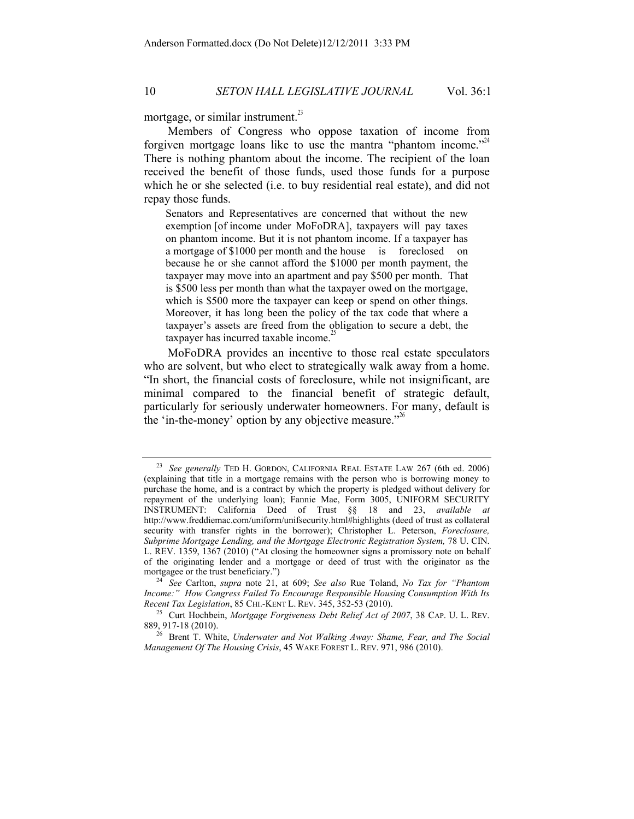mortgage, or similar instrument. $^{23}$ 

Members of Congress who oppose taxation of income from forgiven mortgage loans like to use the mantra "phantom income." There is nothing phantom about the income. The recipient of the loan received the benefit of those funds, used those funds for a purpose which he or she selected (i.e. to buy residential real estate), and did not repay those funds.

Senators and Representatives are concerned that without the new exemption [of income under MoFoDRA], taxpayers will pay taxes on phantom income. But it is not phantom income. If a taxpayer has a mortgage of \$1000 per month and the house is foreclosed on because he or she cannot afford the \$1000 per month payment, the taxpayer may move into an apartment and pay \$500 per month. That is \$500 less per month than what the taxpayer owed on the mortgage, which is \$500 more the taxpayer can keep or spend on other things. Moreover, it has long been the policy of the tax code that where a taxpayer's assets are freed from the obligation to secure a debt, the taxpayer has incurred taxable income.<sup>2</sup>

MoFoDRA provides an incentive to those real estate speculators who are solvent, but who elect to strategically walk away from a home. "In short, the financial costs of foreclosure, while not insignificant, are minimal compared to the financial benefit of strategic default, particularly for seriously underwater homeowners. For many, default is the 'in-the-money' option by any objective measure."<sup>26</sup>

<sup>23</sup> *See generally* TED H. GORDON, CALIFORNIA REAL ESTATE LAW 267 (6th ed. 2006) (explaining that title in a mortgage remains with the person who is borrowing money to purchase the home, and is a contract by which the property is pledged without delivery for repayment of the underlying loan); Fannie Mae, Form 3005, UNIFORM SECURITY INSTRUMENT: California Deed of Trust §§ 18 and 23, *available at* http://www.freddiemac.com/uniform/unifsecurity.html#highlights (deed of trust as collateral security with transfer rights in the borrower); Christopher L. Peterson, *Foreclosure, Subprime Mortgage Lending, and the Mortgage Electronic Registration System,* 78 U. CIN. L. REV. 1359, 1367 (2010) ("At closing the homeowner signs a promissory note on behalf of the originating lender and a mortgage or deed of trust with the originator as the

<sup>&</sup>lt;sup>24</sup> *See* Carlton, *supra* note 21, at 609; *See also* Rue Toland, *No Tax for "Phantom Income:" How Congress Failed To Encourage Responsible Housing Consumption With Its Recent Tax Legislation, 85 CHL-KENT L. REV. 345, 352-53 (2010).* 

<sup>&</sup>lt;sup>25</sup> Curt Hochbein, *Mortgage Forgiveness Debt Relief Act of 2007*, 38 CAP. U. L. REV. 889, 917-18 (2010).<br><sup>26</sup> Brent T. White, *Underwater and Not Walking Away: Shame, Fear, and The Social* 

*Management Of The Housing Crisis*, 45 WAKE FOREST L. REV. 971, 986 (2010).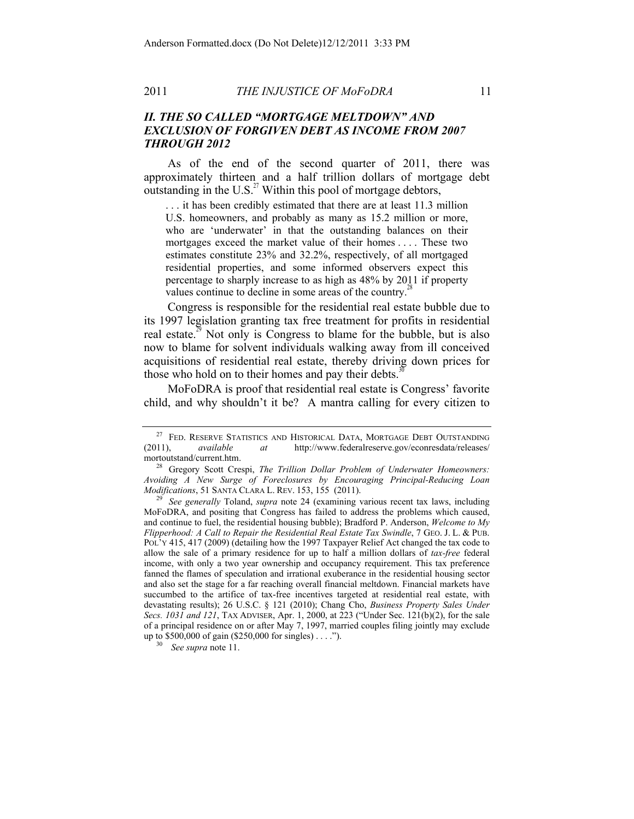# *II. THE SO CALLED "MORTGAGE MELTDOWN" AND EXCLUSION OF FORGIVEN DEBT AS INCOME FROM 2007 THROUGH 2012*

As of the end of the second quarter of 2011, there was approximately thirteen and a half trillion dollars of mortgage debt outstanding in the U.S. $^{27}$  Within this pool of mortgage debtors,

. . . it has been credibly estimated that there are at least 11.3 million U.S. homeowners, and probably as many as 15.2 million or more, who are 'underwater' in that the outstanding balances on their mortgages exceed the market value of their homes . . . . These two estimates constitute 23% and 32.2%, respectively, of all mortgaged residential properties, and some informed observers expect this percentage to sharply increase to as high as 48% by 2011 if property values continue to decline in some areas of the country.<sup>2</sup>

Congress is responsible for the residential real estate bubble due to its 1997 legislation granting tax free treatment for profits in residential real estate.<sup>29</sup> Not only is Congress to blame for the bubble, but is also now to blame for solvent individuals walking away from ill conceived acquisitions of residential real estate, thereby driving down prices for those who hold on to their homes and pay their debts.<sup>3</sup>

MoFoDRA is proof that residential real estate is Congress' favorite child, and why shouldn't it be? A mantra calling for every citizen to

<sup>&</sup>lt;sup>27</sup> FED. RESERVE STATISTICS AND HISTORICAL DATA, MORTGAGE DEBT OUTSTANDING (2011), *available at* http://www.federalreserve.gov/econresdata/releases/ mortoutstand/current.htm.<br><sup>28</sup> Gregory Scott Crespi, *The Trillion Dollar Problem of Underwater Homeowners:* 

Avoiding A New Surge of Foreclosures by Encouraging Principal-Reducing Loan Modifications, 51 SANTA CLARA L. REV. 153, 155 (2011).

*See generally* Toland, *supra* note 24 (examining various recent tax laws, including MoFoDRA, and positing that Congress has failed to address the problems which caused, and continue to fuel, the residential housing bubble); Bradford P. Anderson, *Welcome to My Flipperhood: A Call to Repair the Residential Real Estate Tax Swindle*, 7 GEO. J. L. & PUB. POL'Y 415, 417 (2009) (detailing how the 1997 Taxpayer Relief Act changed the tax code to allow the sale of a primary residence for up to half a million dollars of *tax-free* federal income, with only a two year ownership and occupancy requirement. This tax preference fanned the flames of speculation and irrational exuberance in the residential housing sector and also set the stage for a far reaching overall financial meltdown. Financial markets have succumbed to the artifice of tax-free incentives targeted at residential real estate, with devastating results); 26 U.S.C. § 121 (2010); Chang Cho, *Business Property Sales Under Secs. 1031 and 121*, TAX ADVISER, Apr. 1, 2000, at 223 ("Under Sec. 121(b)(2), for the sale of a principal residence on or after May 7, 1997, married couples filing jointly may exclude up to \$500,000 of gain (\$250,000 for singles) . . . ."). 30 *See supra* note 11.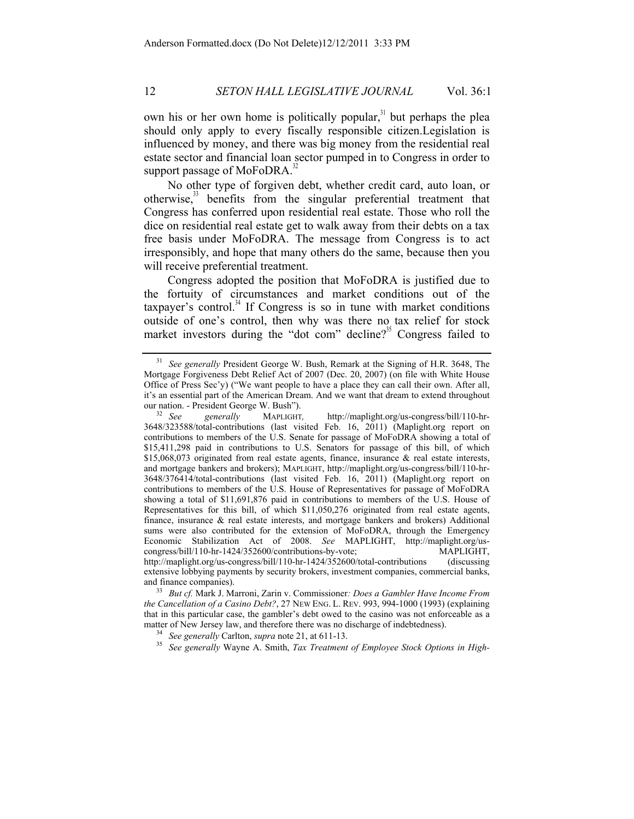own his or her own home is politically popular,<sup>31</sup> but perhaps the plea should only apply to every fiscally responsible citizen.Legislation is influenced by money, and there was big money from the residential real estate sector and financial loan sector pumped in to Congress in order to support passage of  $MoFoDRA$ <sup>3</sup>

No other type of forgiven debt, whether credit card, auto loan, or otherwise,33 benefits from the singular preferential treatment that Congress has conferred upon residential real estate. Those who roll the dice on residential real estate get to walk away from their debts on a tax free basis under MoFoDRA. The message from Congress is to act irresponsibly, and hope that many others do the same, because then you will receive preferential treatment.

Congress adopted the position that MoFoDRA is justified due to the fortuity of circumstances and market conditions out of the taxpayer's control. $34$  If Congress is so in tune with market conditions outside of one's control, then why was there no tax relief for stock market investors during the "dot com" decline?<sup>35</sup> Congress failed to

*the Cancellation of a Casino Debt?*, 27 NEW ENG. L. REV. 993, 994-1000 (1993) (explaining that in this particular case, the gambler's debt owed to the casino was not enforceable as a matter of New Jersey law, and therefore there was no discharge of indebtedness). 34 *See generally* Carlton, *supra* note 21, at 611-13.

<sup>35</sup> *See generally* Wayne A. Smith, *Tax Treatment of Employee Stock Options in High-*

<sup>31</sup> *See generally* President George W. Bush, Remark at the Signing of H.R. 3648, The Mortgage Forgiveness Debt Relief Act of 2007 (Dec. 20, 2007) (on file with White House Office of Press Sec'y) ("We want people to have a place they can call their own. After all, it's an essential part of the American Dream. And we want that dream to extend throughout

our nation. - President George W. Bush"). 32 *See generally* MAPLIGHT*,* http://maplight.org/us-congress/bill/110-hr-3648/323588/total-contributions (last visited Feb. 16, 2011) (Maplight.org report on contributions to members of the U.S. Senate for passage of MoFoDRA showing a total of \$15,411,298 paid in contributions to U.S. Senators for passage of this bill, of which \$15,068,073 originated from real estate agents, finance, insurance & real estate interests, and mortgage bankers and brokers); MAPLIGHT, http://maplight.org/us-congress/bill/110-hr-3648/376414/total-contributions (last visited Feb. 16, 2011) (Maplight.org report on contributions to members of the U.S. House of Representatives for passage of MoFoDRA showing a total of \$11,691,876 paid in contributions to members of the U.S. House of Representatives for this bill, of which \$11,050,276 originated from real estate agents, finance, insurance & real estate interests, and mortgage bankers and brokers) Additional sums were also contributed for the extension of MoFoDRA, through the Emergency Economic Stabilization Act of 2008. *See* MAPLIGHT, http://maplight.org/uscongress/bill/110-hr-1424/352600/contributions-by-vote; MAPLIGHT, http://maplight.org/us-congress/bill/110-hr-1424/352600/total-contributions (discussing extensive lobbying payments by security brokers, investment companies, commercial banks, and finance companies). 33 *But cf.* Mark J. Marroni, Zarin v. Commissioner*: Does a Gambler Have Income From*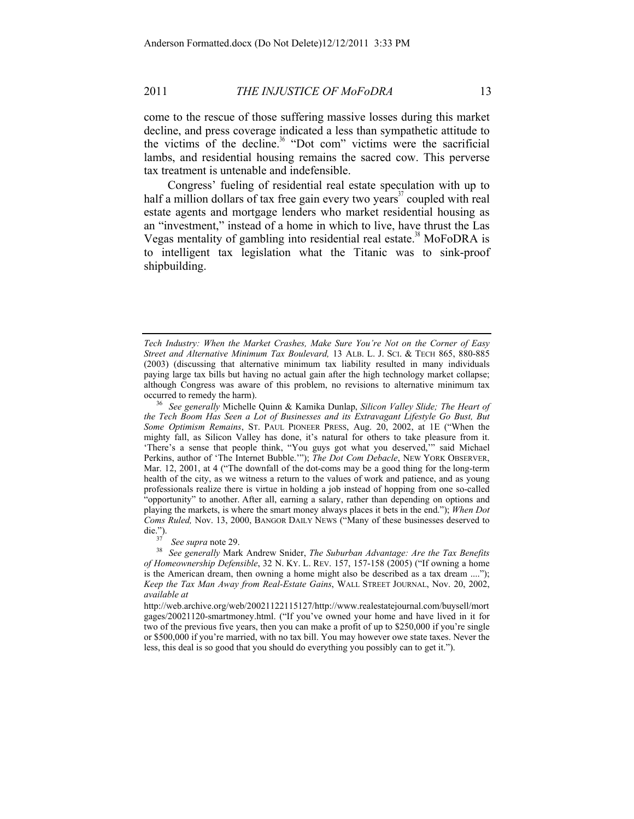come to the rescue of those suffering massive losses during this market decline, and press coverage indicated a less than sympathetic attitude to the victims of the decline.<sup>36</sup> "Dot com" victims were the sacrificial lambs, and residential housing remains the sacred cow. This perverse tax treatment is untenable and indefensible.

Congress' fueling of residential real estate speculation with up to half a million dollars of tax free gain every two years<sup>37</sup> coupled with real estate agents and mortgage lenders who market residential housing as an "investment," instead of a home in which to live, have thrust the Las Vegas mentality of gambling into residential real estate.<sup>38</sup> MoFoDRA is to intelligent tax legislation what the Titanic was to sink-proof shipbuilding.

*Tech Industry: When the Market Crashes, Make Sure You're Not on the Corner of Easy Street and Alternative Minimum Tax Boulevard,* 13 ALB. L. J. SCI. & TECH 865, 880-885 (2003) (discussing that alternative minimum tax liability resulted in many individuals paying large tax bills but having no actual gain after the high technology market collapse; although Congress was aware of this problem, no revisions to alternative minimum tax occurred to remedy the harm). 36 *See generally* Michelle Quinn & Kamika Dunlap, *Silicon Valley Slide; The Heart of* 

*the Tech Boom Has Seen a Lot of Businesses and its Extravagant Lifestyle Go Bust, But Some Optimism Remains*, ST. PAUL PIONEER PRESS, Aug. 20, 2002, at 1E ("When the mighty fall, as Silicon Valley has done, it's natural for others to take pleasure from it. 'There's a sense that people think, "You guys got what you deserved,'" said Michael Perkins, author of 'The Internet Bubble.'"); *The Dot Com Debacle*, NEW YORK OBSERVER, Mar. 12, 2001, at 4 ("The downfall of the dot-coms may be a good thing for the long-term health of the city, as we witness a return to the values of work and patience, and as young professionals realize there is virtue in holding a job instead of hopping from one so-called "opportunity" to another. After all, earning a salary, rather than depending on options and playing the markets, is where the smart money always places it bets in the end."); *When Dot Coms Ruled,* Nov. 13, 2000, BANGOR DAILY NEWS ("Many of these businesses deserved to die.").<br>
<sup>37</sup> See surve note 20.

<sup>&</sup>lt;sup>37</sup> *See supra note 29.*<br><sup>38</sup> *See generally Mark Andrew Snider, The Suburban Advantage: Are the Tax Benefits of Homeownership Defensible*, 32 N. KY. L. REV. 157, 157-158 (2005) ("If owning a home is the American dream, then owning a home might also be described as a tax dream ...."); *Keep the Tax Man Away from Real-Estate Gains*, WALL STREET JOURNAL, Nov. 20, 2002, *available at*

http://web.archive.org/web/20021122115127/http://www.realestatejournal.com/buysell/mort gages/20021120-smartmoney.html. ("If you've owned your home and have lived in it for two of the previous five years, then you can make a profit of up to \$250,000 if you're single or \$500,000 if you're married, with no tax bill. You may however owe state taxes. Never the less, this deal is so good that you should do everything you possibly can to get it.").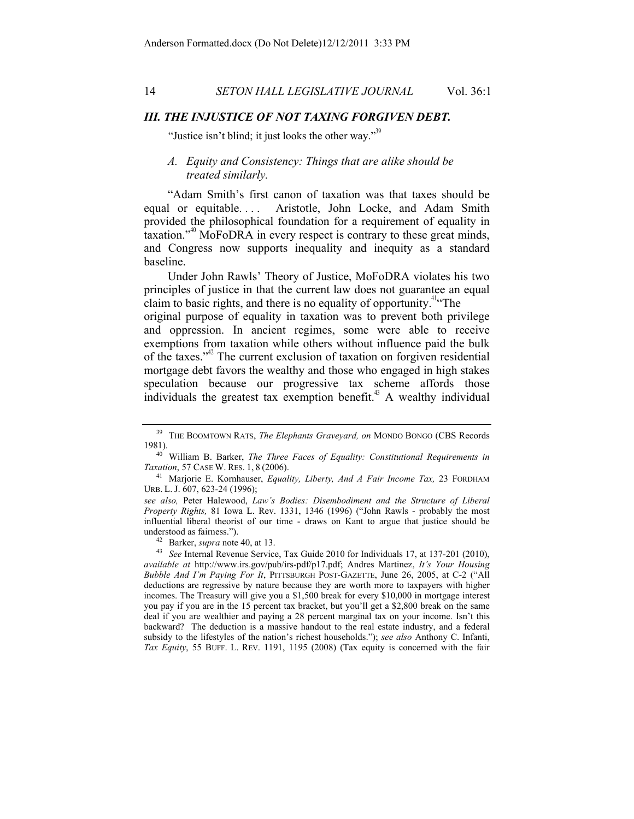# *III. THE INJUSTICE OF NOT TAXING FORGIVEN DEBT.*

"Justice isn't blind; it just looks the other way."<sup>39</sup>

# *A. Equity and Consistency: Things that are alike should be treated similarly.*

"Adam Smith's first canon of taxation was that taxes should be equal or equitable.... Aristotle, John Locke, and Adam Smith provided the philosophical foundation for a requirement of equality in taxation."40 MoFoDRA in every respect is contrary to these great minds, and Congress now supports inequality and inequity as a standard baseline.

Under John Rawls' Theory of Justice, MoFoDRA violates his two principles of justice in that the current law does not guarantee an equal claim to basic rights, and there is no equality of opportunity.<sup>41"</sup>The

original purpose of equality in taxation was to prevent both privilege and oppression. In ancient regimes, some were able to receive exemptions from taxation while others without influence paid the bulk of the taxes." $\mu^2$  The current exclusion of taxation on forgiven residential mortgage debt favors the wealthy and those who engaged in high stakes speculation because our progressive tax scheme affords those individuals the greatest tax exemption benefit.<sup> $43$ </sup> A wealthy individual

<sup>39</sup> THE BOOMTOWN RATS, *The Elephants Graveyard, on* MONDO BONGO (CBS Records

<sup>1981).&</sup>lt;br><sup>40</sup> William B. Barker, *The Three Faces of Equality: Constitutional Requirements in Taxation, 57 CASE W. RES. 1, 8 (2006).* 

<sup>&</sup>lt;sup>41</sup> Marjorie E. Kornhauser, *Equality, Liberty, And A Fair Income Tax*, 23 FORDHAM URB. L. J. 607, 623-24 (1996);

*see also,* Peter Halewood, *Law's Bodies: Disembodiment and the Structure of Liberal Property Rights,* 81 Iowa L. Rev. 1331, 1346 (1996) ("John Rawls - probably the most influential liberal theorist of our time - draws on Kant to argue that justice should be

understood as fairness."). 42 Barker, *supra* note 40, at 13. 43 *See* Internal Revenue Service, Tax Guide 2010 for Individuals 17, at 137-201 (2010), *available at* http://www.irs.gov/pub/irs-pdf/p17.pdf; Andres Martinez, *It's Your Housing Bubble And I'm Paying For It*, PITTSBURGH POST-GAZETTE, June 26, 2005, at C-2 ("All deductions are regressive by nature because they are worth more to taxpayers with higher incomes. The Treasury will give you a \$1,500 break for every \$10,000 in mortgage interest you pay if you are in the 15 percent tax bracket, but you'll get a \$2,800 break on the same deal if you are wealthier and paying a 28 percent marginal tax on your income. Isn't this backward? The deduction is a massive handout to the real estate industry, and a federal subsidy to the lifestyles of the nation's richest households."); *see also* Anthony C. Infanti, *Tax Equity*, 55 BUFF. L. REV. 1191, 1195 (2008) (Tax equity is concerned with the fair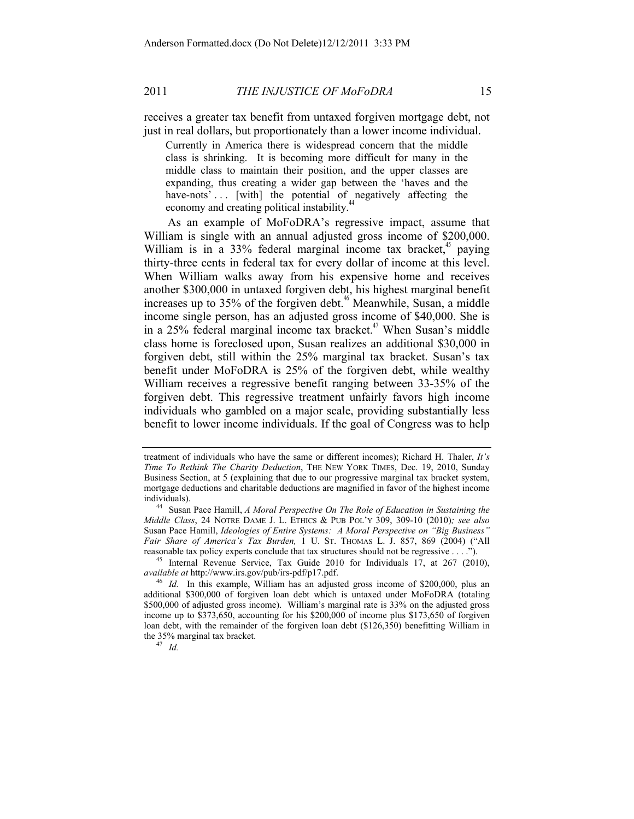Currently in America there is widespread concern that the middle class is shrinking. It is becoming more difficult for many in the middle class to maintain their position, and the upper classes are expanding, thus creating a wider gap between the 'haves and the have-nots'... [with] the potential of negatively affecting the economy and creating political instability.

As an example of MoFoDRA's regressive impact, assume that William is single with an annual adjusted gross income of \$200,000. William is in a 33% federal marginal income tax bracket, $\alpha$ <sup>45</sup> paying thirty-three cents in federal tax for every dollar of income at this level. When William walks away from his expensive home and receives another \$300,000 in untaxed forgiven debt, his highest marginal benefit increases up to  $35\%$  of the forgiven debt.<sup>46</sup> Meanwhile, Susan, a middle income single person, has an adjusted gross income of \$40,000. She is in a  $25\%$  federal marginal income tax bracket.<sup>47</sup> When Susan's middle class home is foreclosed upon, Susan realizes an additional \$30,000 in forgiven debt, still within the 25% marginal tax bracket. Susan's tax benefit under MoFoDRA is 25% of the forgiven debt, while wealthy William receives a regressive benefit ranging between 33-35% of the forgiven debt. This regressive treatment unfairly favors high income individuals who gambled on a major scale, providing substantially less benefit to lower income individuals. If the goal of Congress was to help

treatment of individuals who have the same or different incomes); Richard H. Thaler, *It's Time To Rethink The Charity Deduction*, THE NEW YORK TIMES, Dec. 19, 2010, Sunday Business Section, at 5 (explaining that due to our progressive marginal tax bracket system, mortgage deductions and charitable deductions are magnified in favor of the highest income individuals). 44 Susan Pace Hamill, *A Moral Perspective On The Role of Education in Sustaining the* 

*Middle Class*, 24 NOTRE DAME J. L. ETHICS & PUB POL'Y 309, 309-10 (2010)*; see also*  Susan Pace Hamill, *Ideologies of Entire Systems: A Moral Perspective on "Big Business" Fair Share of America's Tax Burden,* 1 U. ST. THOMAS L. J. 857, 869 (2004) ("All

reasonable tax policy experts conclude that tax structures should not be regressive . . . ."). 45 Internal Revenue Service, Tax Guide 2010 for Individuals 17, at 267 (2010), *available at* http://www.irs.gov/pub/irs-pdf/p17.pdf.<br><sup>46</sup> *Id.* In this example, William has an adjusted gross income of \$200,000, plus an

additional \$300,000 of forgiven loan debt which is untaxed under MoFoDRA (totaling \$500,000 of adjusted gross income). William's marginal rate is 33% on the adjusted gross income up to \$373,650, accounting for his \$200,000 of income plus \$173,650 of forgiven loan debt, with the remainder of the forgiven loan debt (\$126,350) benefitting William in the 35% marginal tax bracket. 47 *Id.*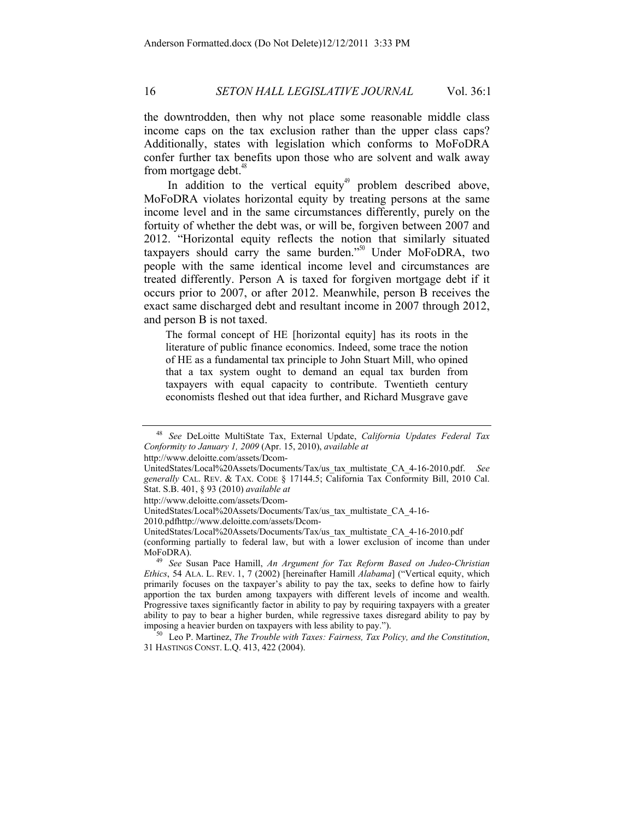the downtrodden, then why not place some reasonable middle class income caps on the tax exclusion rather than the upper class caps? Additionally, states with legislation which conforms to MoFoDRA confer further tax benefits upon those who are solvent and walk away from mortgage debt. $48$ 

In addition to the vertical equity<sup>49</sup> problem described above, MoFoDRA violates horizontal equity by treating persons at the same income level and in the same circumstances differently, purely on the fortuity of whether the debt was, or will be, forgiven between 2007 and 2012. "Horizontal equity reflects the notion that similarly situated taxpayers should carry the same burden."50 Under MoFoDRA, two people with the same identical income level and circumstances are treated differently. Person A is taxed for forgiven mortgage debt if it occurs prior to 2007, or after 2012. Meanwhile, person B receives the exact same discharged debt and resultant income in 2007 through 2012, and person B is not taxed.

The formal concept of HE [horizontal equity] has its roots in the literature of public finance economics. Indeed, some trace the notion of HE as a fundamental tax principle to John Stuart Mill, who opined that a tax system ought to demand an equal tax burden from taxpayers with equal capacity to contribute. Twentieth century economists fleshed out that idea further, and Richard Musgrave gave

http://www.deloitte.com/assets/Dcom-

http://www.deloitte.com/assets/Dcom-

<sup>48</sup> *See* DeLoitte MultiState Tax, External Update, *California Updates Federal Tax Conformity to January 1, 2009* (Apr. 15, 2010), *available at*

UnitedStates/Local%20Assets/Documents/Tax/us\_tax\_multistate\_CA\_4-16-2010.pdf. *See generally* CAL. REV. & TAX. CODE § 17144.5; California Tax Conformity Bill, 2010 Cal. Stat. S.B. 401, § 93 (2010) *available at*

UnitedStates/Local%20Assets/Documents/Tax/us\_tax\_multistate\_CA\_4-16-

<sup>2010.</sup>pdfhttp://www.deloitte.com/assets/Dcom-

UnitedStates/Local%20Assets/Documents/Tax/us\_tax\_multistate\_CA\_4-16-2010.pdf (conforming partially to federal law, but with  $a$  lower exclusion of income than under MoFoDRA). 49 *See* Susan Pace Hamill, *An Argument for Tax Reform Based on Judeo-Christian* 

*Ethics*, 54 ALA. L. REV. 1, 7 (2002) [hereinafter Hamill *Alabama*] ("Vertical equity, which primarily focuses on the taxpayer's ability to pay the tax, seeks to define how to fairly apportion the tax burden among taxpayers with different levels of income and wealth. Progressive taxes significantly factor in ability to pay by requiring taxpayers with a greater ability to pay to bear a higher burden, while regressive taxes disregard ability to pay by imposing a heavier burden on taxpayers with less ability to pay."). 50 Leo P. Martinez, *The Trouble with Taxes: Fairness, Tax Policy, and the Constitution*,

<sup>31</sup> HASTINGS CONST. L.Q. 413, 422 (2004).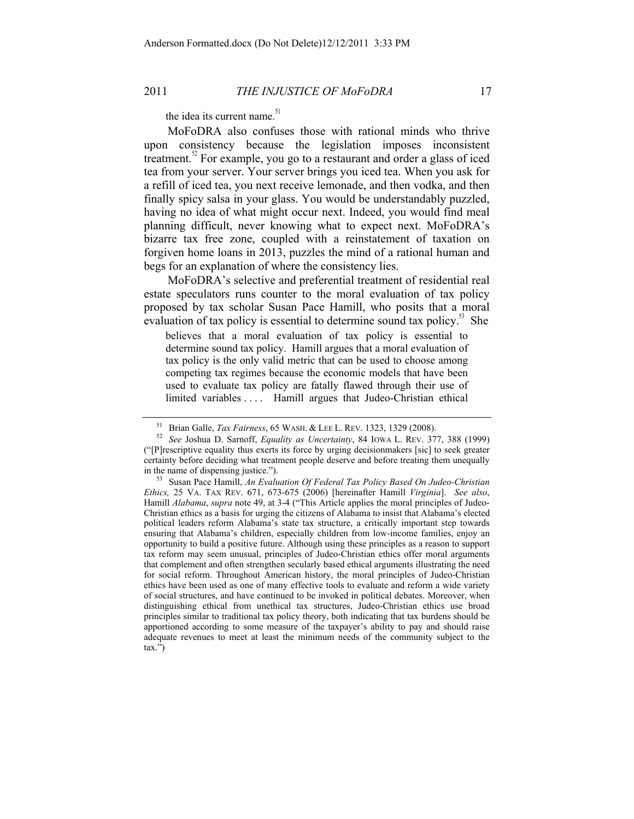the idea its current name.<sup>51</sup>

MoFoDRA also confuses those with rational minds who thrive upon consistency because the legislation imposes inconsistent treatment. $2^{\circ}$  For example, you go to a restaurant and order a glass of iced tea from your server. Your server brings you iced tea. When you ask for a refill of iced tea, you next receive lemonade, and then vodka, and then finally spicy salsa in your glass. You would be understandably puzzled, having no idea of what might occur next. Indeed, you would find meal planning difficult, never knowing what to expect next. MoFoDRA's bizarre tax free zone, coupled with a reinstatement of taxation on forgiven home loans in 2013, puzzles the mind of a rational human and begs for an explanation of where the consistency lies.

MoFoDRA's selective and preferential treatment of residential real estate speculators runs counter to the moral evaluation of tax policy proposed by tax scholar Susan Pace Hamill, who posits that a moral evaluation of tax policy is essential to determine sound tax policy.<sup>53</sup> She

believes that a moral evaluation of tax policy is essential to determine sound tax policy. Hamill argues that a moral evaluation of tax policy is the only valid metric that can be used to choose among competing tax regimes because the economic models that have been used to evaluate tax policy are fatally flawed through their use of limited variables . . . . Hamill argues that Judeo-Christian ethical

<sup>51</sup> Brian Galle, *Tax Fairness*, 65 WASH. & LEE L. REV. 1323, 1329 (2008). 52 *See* Joshua D. Sarnoff, *Equality as Uncertainty*, 84 IOWA L. REV. 377, 388 (1999) ("[P]rescriptive equality thus exerts its force by urging decisionmakers [sic] to seek greater certainty before deciding what treatment people deserve and before treating them unequally in the name of dispensing justice."). 53 Susan Pace Hamill, *An Evaluation Of Federal Tax Policy Based On Judeo-Christian* 

*Ethics,* 25 VA. TAX REV. 671, 673-675 (2006) [hereinafter Hamill *Virginia*]. *See also*, Hamill *Alabama*, *supra* note 49, at 3-4 ("This Article applies the moral principles of Judeo-Christian ethics as a basis for urging the citizens of Alabama to insist that Alabama's elected political leaders reform Alabama's state tax structure, a critically important step towards ensuring that Alabama's children, especially children from low-income families, enjoy an opportunity to build a positive future. Although using these principles as a reason to support tax reform may seem unusual, principles of Judeo-Christian ethics offer moral arguments that complement and often strengthen secularly based ethical arguments illustrating the need for social reform. Throughout American history, the moral principles of Judeo-Christian ethics have been used as one of many effective tools to evaluate and reform a wide variety of social structures, and have continued to be invoked in political debates. Moreover, when distinguishing ethical from unethical tax structures, Judeo-Christian ethics use broad principles similar to traditional tax policy theory, both indicating that tax burdens should be apportioned according to some measure of the taxpayer's ability to pay and should raise adequate revenues to meet at least the minimum needs of the community subject to the  $\text{tax.}^{\overline{\mathcal{P}}})$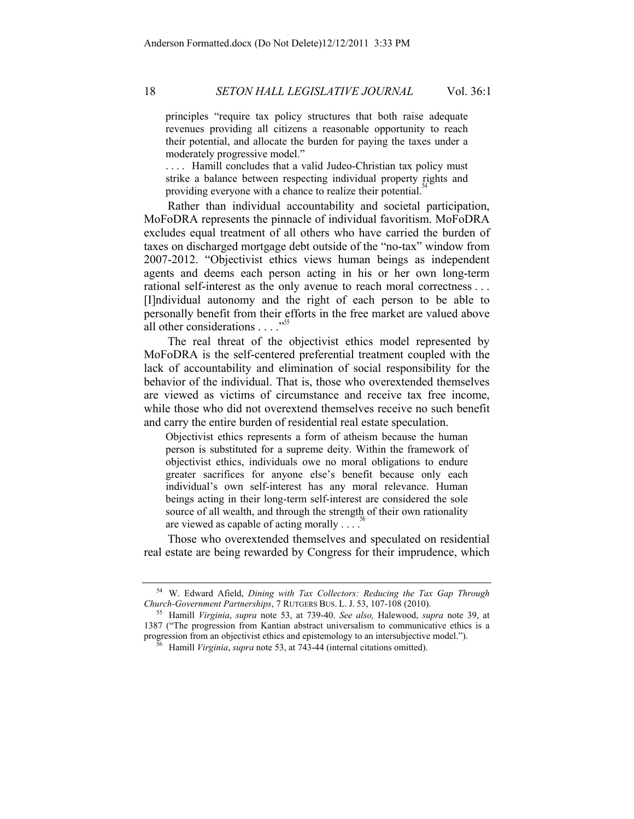principles "require tax policy structures that both raise adequate revenues providing all citizens a reasonable opportunity to reach their potential, and allocate the burden for paying the taxes under a moderately progressive model."

.... Hamill concludes that a valid Judeo-Christian tax policy must strike a balance between respecting individual property rights and providing everyone with a chance to realize their potential.<sup>3</sup>

Rather than individual accountability and societal participation, MoFoDRA represents the pinnacle of individual favoritism. MoFoDRA excludes equal treatment of all others who have carried the burden of taxes on discharged mortgage debt outside of the "no-tax" window from 2007-2012. "Objectivist ethics views human beings as independent agents and deems each person acting in his or her own long-term rational self-interest as the only avenue to reach moral correctness . . . [I]ndividual autonomy and the right of each person to be able to personally benefit from their efforts in the free market are valued above all other considerations . . . .<sup>55</sup>

The real threat of the objectivist ethics model represented by MoFoDRA is the self-centered preferential treatment coupled with the lack of accountability and elimination of social responsibility for the behavior of the individual. That is, those who overextended themselves are viewed as victims of circumstance and receive tax free income, while those who did not overextend themselves receive no such benefit and carry the entire burden of residential real estate speculation.

Objectivist ethics represents a form of atheism because the human person is substituted for a supreme deity. Within the framework of objectivist ethics, individuals owe no moral obligations to endure greater sacrifices for anyone else's benefit because only each individual's own self-interest has any moral relevance. Human beings acting in their long-term self-interest are considered the sole source of all wealth, and through the strength of their own rationality are viewed as capable of acting morally  $\ldots$ .

Those who overextended themselves and speculated on residential real estate are being rewarded by Congress for their imprudence, which

<sup>&</sup>lt;sup>54</sup> W. Edward Afield, *Dining with Tax Collectors: Reducing the Tax Gap Through Church-Government Partnerships, 7 RUTGERS BUS. L. J. 53, 107-108 (2010).* 

*Church-Government Partnerships*, 7 RUTGERS BUS. L. J. 53, 107-108 (2010). 55 Hamill *Virginia*, *supra* note 53, at 739-40. *See also,* Halewood, *supra* note 39, at 1387 ("The progression from Kantian abstract universalism to communicative ethics is a progression from an objectivist ethics and epistemology to an intersubjective model."). 56 Hamill *Virginia*, *supra* note 53, at 743-44 (internal citations omitted).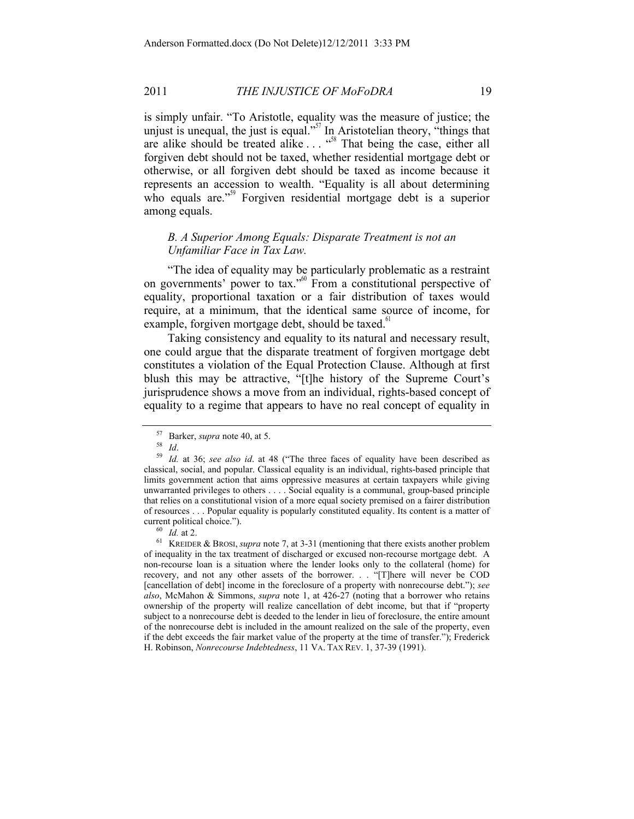is simply unfair. "To Aristotle, equality was the measure of justice; the unjust is unequal, the just is equal."<sup>57</sup> In Aristotelian theory, "things that are alike should be treated alike  $\ldots$   $\cdots$ <sup>58</sup> That being the case, either all forgiven debt should not be taxed, whether residential mortgage debt or otherwise, or all forgiven debt should be taxed as income because it represents an accession to wealth. "Equality is all about determining who equals are."<sup>59</sup> Forgiven residential mortgage debt is a superior among equals.

# *B. A Superior Among Equals: Disparate Treatment is not an Unfamiliar Face in Tax Law.*

"The idea of equality may be particularly problematic as a restraint on governments' power to tax."<sup>60</sup> From a constitutional perspective of equality, proportional taxation or a fair distribution of taxes would require, at a minimum, that the identical same source of income, for example, forgiven mortgage debt, should be taxed. $61$ 

Taking consistency and equality to its natural and necessary result, one could argue that the disparate treatment of forgiven mortgage debt constitutes a violation of the Equal Protection Clause. Although at first blush this may be attractive, "[t]he history of the Supreme Court's jurisprudence shows a move from an individual, rights-based concept of equality to a regime that appears to have no real concept of equality in

<sup>57</sup> Barker, *supra* note 40, at 5. 58 *Id*. 59 *Id.* at 36; *see also id*. at 48 ("The three faces of equality have been described as classical, social, and popular. Classical equality is an individual, rights-based principle that limits government action that aims oppressive measures at certain taxpayers while giving unwarranted privileges to others . . . . Social equality is a communal, group-based principle that relies on a constitutional vision of a more equal society premised on a fairer distribution of resources . . . Popular equality is popularly constituted equality. Its content is a matter of current political choice.").<br><sup>60</sup> *Id.* at 2.<br><sup>61</sup> KREIDER & BROSI, *supra* note 7, at 3-31 (mentioning that there exists another problem

of inequality in the tax treatment of discharged or excused non-recourse mortgage debt. A non-recourse loan is a situation where the lender looks only to the collateral (home) for recovery, and not any other assets of the borrower. . . "[T]here will never be COD [cancellation of debt] income in the foreclosure of a property with nonrecourse debt."); *see also*, McMahon & Simmons, *supra* note 1, at 426-27 (noting that a borrower who retains ownership of the property will realize cancellation of debt income, but that if "property subject to a nonrecourse debt is deeded to the lender in lieu of foreclosure, the entire amount of the nonrecourse debt is included in the amount realized on the sale of the property, even if the debt exceeds the fair market value of the property at the time of transfer."); Frederick H. Robinson, *Nonrecourse Indebtedness*, 11 VA. TAX REV. 1, 37-39 (1991).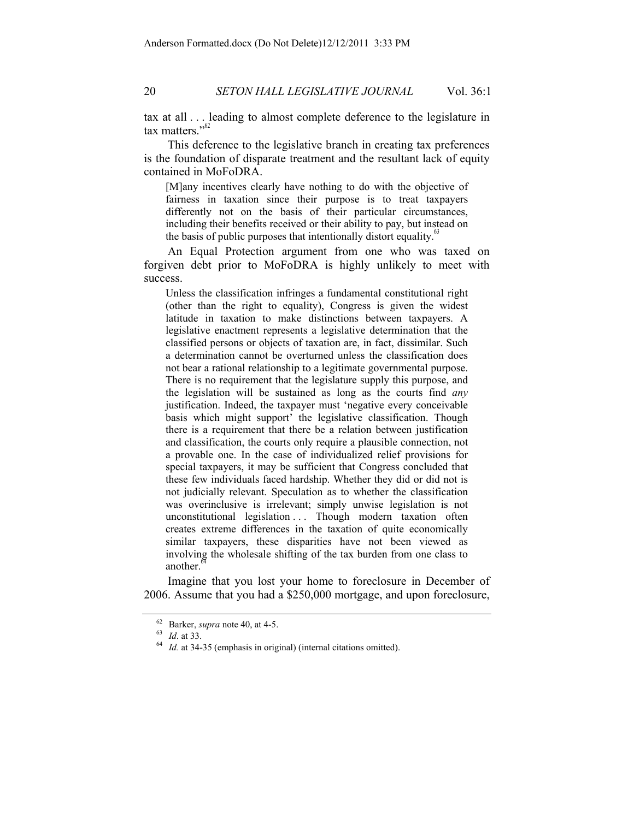tax at all . . . leading to almost complete deference to the legislature in tax matters."<sup>62</sup>

This deference to the legislative branch in creating tax preferences is the foundation of disparate treatment and the resultant lack of equity contained in MoFoDRA.

[M]any incentives clearly have nothing to do with the objective of fairness in taxation since their purpose is to treat taxpayers differently not on the basis of their particular circumstances, including their benefits received or their ability to pay, but instead on the basis of public purposes that intentionally distort equality. $\frac{8}{3}$ 

An Equal Protection argument from one who was taxed on forgiven debt prior to MoFoDRA is highly unlikely to meet with success.

Unless the classification infringes a fundamental constitutional right (other than the right to equality), Congress is given the widest latitude in taxation to make distinctions between taxpayers. A legislative enactment represents a legislative determination that the classified persons or objects of taxation are, in fact, dissimilar. Such a determination cannot be overturned unless the classification does not bear a rational relationship to a legitimate governmental purpose. There is no requirement that the legislature supply this purpose, and the legislation will be sustained as long as the courts find *any* justification. Indeed, the taxpayer must 'negative every conceivable basis which might support' the legislative classification. Though there is a requirement that there be a relation between justification and classification, the courts only require a plausible connection, not a provable one. In the case of individualized relief provisions for special taxpayers, it may be sufficient that Congress concluded that these few individuals faced hardship. Whether they did or did not is not judicially relevant. Speculation as to whether the classification was overinclusive is irrelevant; simply unwise legislation is not unconstitutional legislation ... Though modern taxation often creates extreme differences in the taxation of quite economically similar taxpayers, these disparities have not been viewed as involving the wholesale shifting of the tax burden from one class to another.<sup>6</sup>

Imagine that you lost your home to foreclosure in December of 2006. Assume that you had a \$250,000 mortgage, and upon foreclosure,

<sup>&</sup>lt;sup>62</sup> Barker, *supra* note 40, at 4-5.<br><sup>63</sup> *Id.* at 33. 64 *Id.* at 34-35 (emphasis in original) (internal citations omitted).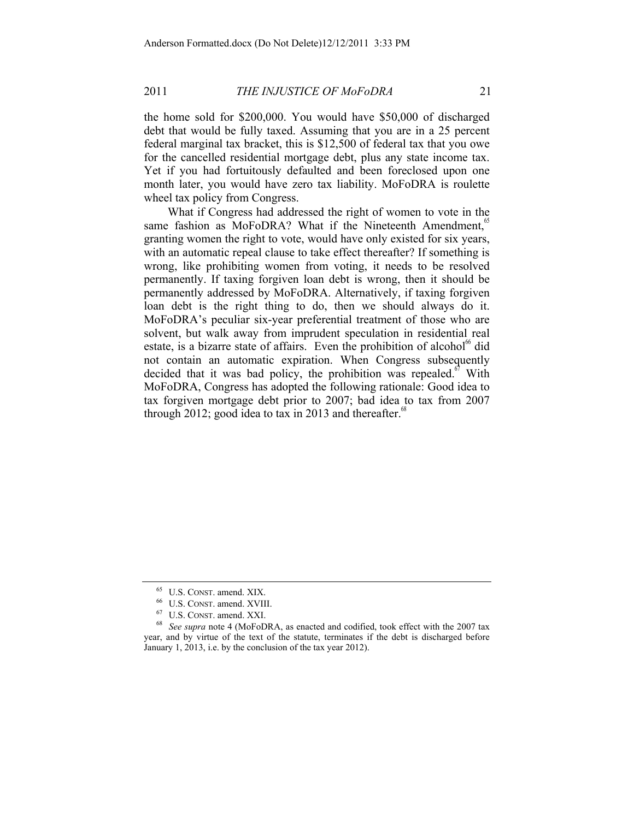the home sold for \$200,000. You would have \$50,000 of discharged debt that would be fully taxed. Assuming that you are in a 25 percent federal marginal tax bracket, this is \$12,500 of federal tax that you owe for the cancelled residential mortgage debt, plus any state income tax. Yet if you had fortuitously defaulted and been foreclosed upon one month later, you would have zero tax liability. MoFoDRA is roulette wheel tax policy from Congress.

What if Congress had addressed the right of women to vote in the same fashion as MoFoDRA? What if the Nineteenth Amendment, $\degree$ granting women the right to vote, would have only existed for six years, with an automatic repeal clause to take effect thereafter? If something is wrong, like prohibiting women from voting, it needs to be resolved permanently. If taxing forgiven loan debt is wrong, then it should be permanently addressed by MoFoDRA. Alternatively, if taxing forgiven loan debt is the right thing to do, then we should always do it. MoFoDRA's peculiar six-year preferential treatment of those who are solvent, but walk away from imprudent speculation in residential real estate, is a bizarre state of affairs. Even the prohibition of alcohol $^{66}$  did not contain an automatic expiration. When Congress subsequently decided that it was bad policy, the prohibition was repealed.<sup>67</sup> With MoFoDRA, Congress has adopted the following rationale: Good idea to tax forgiven mortgage debt prior to 2007; bad idea to tax from 2007 through 2012; good idea to tax in 2013 and thereafter.<sup>68</sup>

<sup>&</sup>lt;sup>65</sup> U.S. CONST. amend. XIX.<br><sup>66</sup> U.S. CONST. amend. XVIII.<br><sup>67</sup> U.S. CONST. amend. XXI.<br><sup>68</sup> *See supra* note 4 (MoFoDRA, as enacted and codified, took effect with the 2007 tax year, and by virtue of the text of the statute, terminates if the debt is discharged before January 1, 2013, i.e. by the conclusion of the tax year 2012).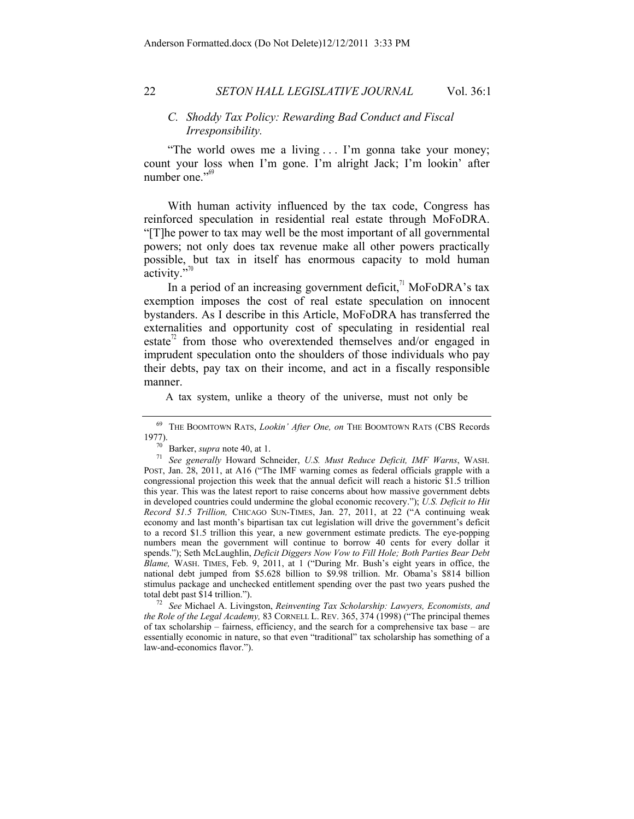#### *C. Shoddy Tax Policy: Rewarding Bad Conduct and Fiscal Irresponsibility.*

"The world owes me a living . . . I'm gonna take your money; count your loss when I'm gone. I'm alright Jack; I'm lookin' after number one."<sup>69</sup>

With human activity influenced by the tax code, Congress has reinforced speculation in residential real estate through MoFoDRA. "[T]he power to tax may well be the most important of all governmental powers; not only does tax revenue make all other powers practically possible, but tax in itself has enormous capacity to mold human activity."

In a period of an increasing government deficit,<sup> $1$ </sup> MoFoDRA's tax exemption imposes the cost of real estate speculation on innocent bystanders. As I describe in this Article, MoFoDRA has transferred the externalities and opportunity cost of speculating in residential real estate<sup> $2$ </sup> from those who overextended themselves and/or engaged in imprudent speculation onto the shoulders of those individuals who pay their debts, pay tax on their income, and act in a fiscally responsible manner.

A tax system, unlike a theory of the universe, must not only be

total debt past \$14 trillion."). 72 *See* Michael A. Livingston, *Reinventing Tax Scholarship: Lawyers, Economists, and the Role of the Legal Academy,* 83 CORNELL L. REV. 365, 374 (1998) ("The principal themes of tax scholarship – fairness, efficiency, and the search for a comprehensive tax base – are essentially economic in nature, so that even "traditional" tax scholarship has something of a law-and-economics flavor.").

<sup>&</sup>lt;sup>69</sup> THE BOOMTOWN RATS, *Lookin' After One, on* THE BOOMTOWN RATS (CBS Records 1977).<br><sup>70</sup> Barker, *supra* note 40, at 1.<br>11.6 Metatrice *Matter Reduce Deficit. IMF Warns*, WASH.

<sup>&</sup>lt;sup>71</sup> See generally Howard Schneider, *U.S. Must Reduce Deficit, IMF Warns*, WASH. POST, Jan. 28, 2011, at A16 ("The IMF warning comes as federal officials grapple with a congressional projection this week that the annual deficit will reach a historic \$1.5 trillion this year. This was the latest report to raise concerns about how massive government debts in developed countries could undermine the global economic recovery."); *U.S. Deficit to Hit Record \$1.5 Trillion,* CHICAGO SUN-TIMES, Jan. 27, 2011, at 22 ("A continuing weak economy and last month's bipartisan tax cut legislation will drive the government's deficit to a record \$1.5 trillion this year, a new government estimate predicts. The eye-popping numbers mean the government will continue to borrow 40 cents for every dollar it spends."); Seth McLaughlin, *Deficit Diggers Now Vow to Fill Hole; Both Parties Bear Debt Blame,* WASH. TIMES, Feb. 9, 2011, at 1 ("During Mr. Bush's eight years in office, the national debt jumped from \$5.628 billion to \$9.98 trillion. Mr. Obama's \$814 billion stimulus package and unchecked entitlement spending over the past two years pushed the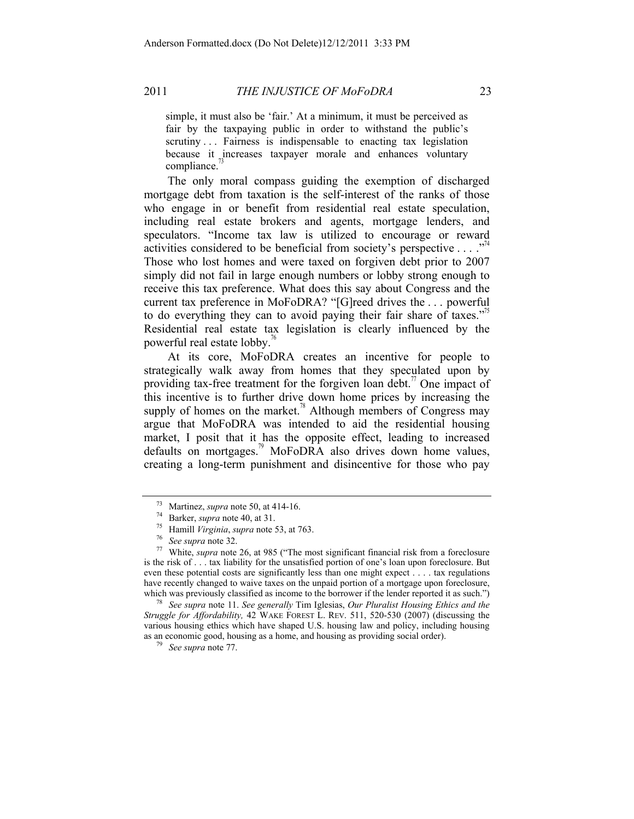simple, it must also be 'fair.' At a minimum, it must be perceived as fair by the taxpaying public in order to withstand the public's scrutiny . . . Fairness is indispensable to enacting tax legislation because it increases taxpayer morale and enhances voluntary compliance.

The only moral compass guiding the exemption of discharged mortgage debt from taxation is the self-interest of the ranks of those who engage in or benefit from residential real estate speculation, including real estate brokers and agents, mortgage lenders, and speculators. "Income tax law is utilized to encourage or reward activities considered to be beneficial from society's perspective  $\dots$ . Those who lost homes and were taxed on forgiven debt prior to 2007 simply did not fail in large enough numbers or lobby strong enough to receive this tax preference. What does this say about Congress and the current tax preference in MoFoDRA? "[G]reed drives the . . . powerful to do everything they can to avoid paying their fair share of taxes.<sup> $2^{75}$ </sup> Residential real estate tax legislation is clearly influenced by the powerful real estate lobby.<sup>76</sup>

At its core, MoFoDRA creates an incentive for people to strategically walk away from homes that they speculated upon by providing tax-free treatment for the forgiven loan debt.<sup>77</sup> One impact of this incentive is to further drive down home prices by increasing the supply of homes on the market.<sup>78</sup> Although members of Congress may argue that MoFoDRA was intended to aid the residential housing market, I posit that it has the opposite effect, leading to increased defaults on mortgages.<sup>79</sup> MoFoDRA also drives down home values, creating a long-term punishment and disincentive for those who pay

<sup>78</sup> See supra note 11. See generally Tim Iglesias, *Our Pluralist Housing Ethics and the Struggle for Affordability,* 42 WAKE FOREST L. REV. 511, 520-530 (2007) (discussing the various housing ethics which have shaped U.S. housing law and policy, including housing as an economic good, housing as a home, and housing as providing social order). 79 *See supra* note 77.

<sup>&</sup>lt;sup>73</sup> Martinez, *supra* note 50, at 414-16.<br>
<sup>74</sup> Barker, *supra* note 40, at 31.<br>
<sup>75</sup> Hamill *Virginia, supra* note 53, at 763.<br>
<sup>76</sup> See supra note 32.<br>
<sup>77</sup> White, *supra* note 26, at 985 ("The most significant financi is the risk of . . . tax liability for the unsatisfied portion of one's loan upon foreclosure. But even these potential costs are significantly less than one might expect . . . . tax regulations have recently changed to waive taxes on the unpaid portion of a mortgage upon foreclosure, which was previously classified as income to the borrower if the lender reported it as such.")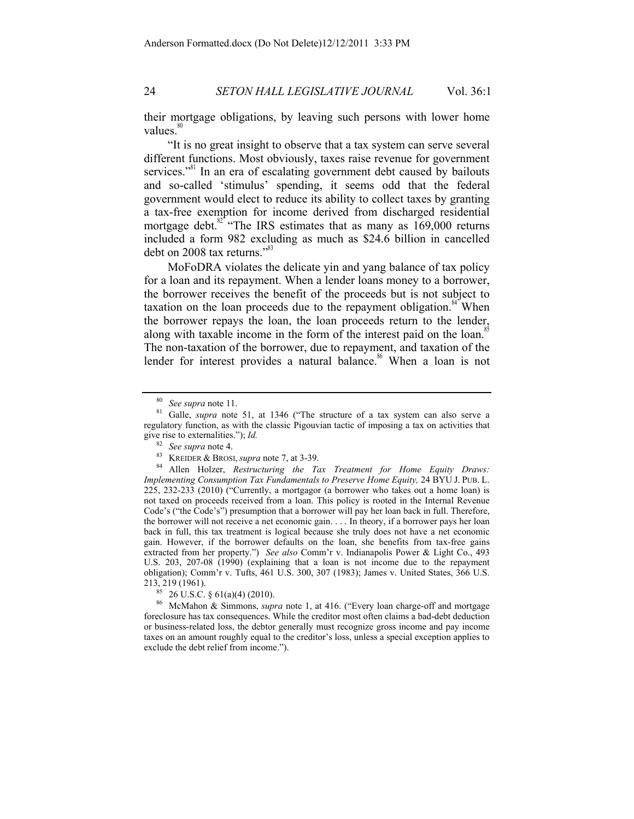their mortgage obligations, by leaving such persons with lower home values. $\frac{80}{30}$ 

"It is no great insight to observe that a tax system can serve several different functions. Most obviously, taxes raise revenue for government services."<sup>81</sup> In an era of escalating government debt caused by bailouts and so-called 'stimulus' spending, it seems odd that the federal government would elect to reduce its ability to collect taxes by granting a tax-free exemption for income derived from discharged residential mortgage debt. $82 \text{°}$  "The IRS estimates that as many as 169,000 returns included a form 982 excluding as much as \$24.6 billion in cancelled debt on 2008 tax returns." $33$ 

MoFoDRA violates the delicate yin and yang balance of tax policy for a loan and its repayment. When a lender loans money to a borrower, the borrower receives the benefit of the proceeds but is not subject to taxation on the loan proceeds due to the repayment obligation. $84$  When the borrower repays the loan, the loan proceeds return to the lender, along with taxable income in the form of the interest paid on the loan.<sup>85</sup> The non-taxation of the borrower, due to repayment, and taxation of the lender for interest provides a natural balance.<sup>86</sup> When a loan is not

<sup>80</sup> *See supra* note 11. 81 Galle, *supra* note 51, at 1346 ("The structure of a tax system can also serve a regulatory function, as with the classic Pigouvian tactic of imposing a tax on activities that give rise to externalities."); *Id.* <sup>82</sup> *See supra* note 4.

<sup>&</sup>lt;sup>83</sup> KREIDER & BROSI, *supra* note 7, at 3-39.<br><sup>84</sup> Allen Holzer, *Restructuring the Tax Treatment for Home Equity Draws: Implementing Consumption Tax Fundamentals to Preserve Home Equity,* 24 BYU J. PUB. L.  $225$ ,  $232-233$   $(2010)$  ("Currently, a mortgagor (a borrower who takes out a home loan) is not taxed on proceeds received from a loan. This policy is rooted in the Internal Revenue Code's ("the Code's") presumption that a borrower will pay her loan back in full. Therefore, the borrower will not receive a net economic gain. . . . In theory, if a borrower pays her loan back in full, this tax treatment is logical because she truly does not have a net economic gain. However, if the borrower defaults on the loan, she benefits from tax-free gains extracted from her property.") *See also* Comm'r v. Indianapolis Power & Light Co., 493 U.S. 203, 207-08 (1990) (explaining that a loan is not income due to the repayment obligation); Comm'r v. Tufts, 461 U.S. 300, 307 (1983); James v. United States, 366 U.S. 213, 219 (1961). 85 26 U.S.C. § 61(a)(4) (2010). 86 McMahon & Simmons, *supra* note 1, at 416. ("Every loan charge-off and mortgage

foreclosure has tax consequences. While the creditor most often claims a bad-debt deduction or business-related loss, the debtor generally must recognize gross income and pay income taxes on an amount roughly equal to the creditor's loss, unless a special exception applies to exclude the debt relief from income.").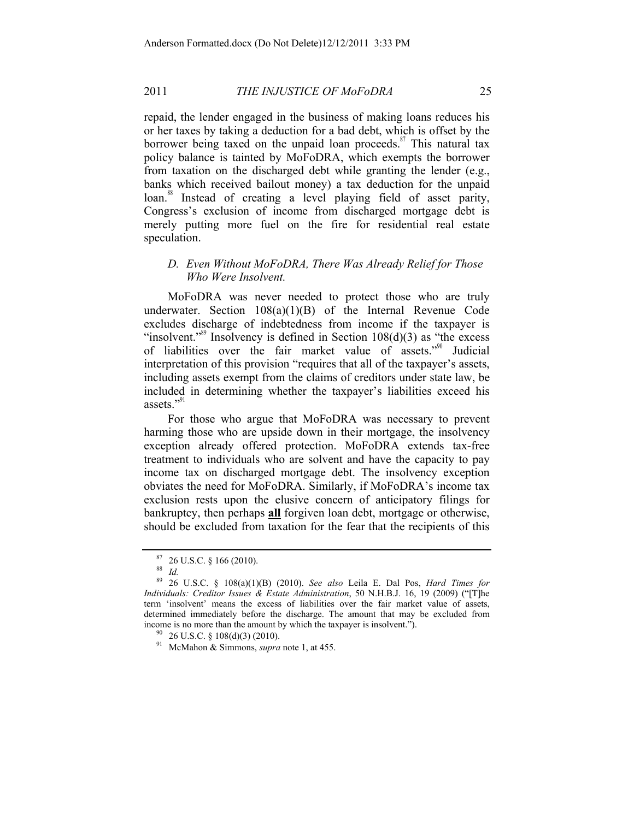repaid, the lender engaged in the business of making loans reduces his or her taxes by taking a deduction for a bad debt, which is offset by the borrower being taxed on the unpaid loan proceeds.<sup>87</sup> This natural tax policy balance is tainted by MoFoDRA, which exempts the borrower from taxation on the discharged debt while granting the lender (e.g., banks which received bailout money) a tax deduction for the unpaid loan.<sup>88</sup> Instead of creating a level playing field of asset parity, Congress's exclusion of income from discharged mortgage debt is merely putting more fuel on the fire for residential real estate speculation.

# *D. Even Without MoFoDRA, There Was Already Relief for Those Who Were Insolvent.*

MoFoDRA was never needed to protect those who are truly underwater. Section 108(a)(1)(B) of the Internal Revenue Code excludes discharge of indebtedness from income if the taxpayer is "insolvent."<sup>89</sup> Insolvency is defined in Section  $108(d)(3)$  as "the excess" of liabilities over the fair market value of assets."90 Judicial interpretation of this provision "requires that all of the taxpayer's assets, including assets exempt from the claims of creditors under state law, be included in determining whether the taxpayer's liabilities exceed his assets."<sup>91</sup>

For those who argue that MoFoDRA was necessary to prevent harming those who are upside down in their mortgage, the insolvency exception already offered protection. MoFoDRA extends tax-free treatment to individuals who are solvent and have the capacity to pay income tax on discharged mortgage debt. The insolvency exception obviates the need for MoFoDRA. Similarly, if MoFoDRA's income tax exclusion rests upon the elusive concern of anticipatory filings for bankruptcy, then perhaps **all** forgiven loan debt, mortgage or otherwise, should be excluded from taxation for the fear that the recipients of this

<sup>87</sup> 26 U.S.C. § 166 (2010). 88 *Id.*

<sup>89</sup> 26 U.S.C. § 108(a)(1)(B) (2010). *See also* Leila E. Dal Pos, *Hard Times for Individuals: Creditor Issues & Estate Administration*, 50 N.H.B.J. 16, 19 (2009) ("[T]he term 'insolvent' means the excess of liabilities over the fair market value of assets, determined immediately before the discharge. The amount that may be excluded from income is no more than the amount by which the taxpayer is insolvent.").<br><sup>90</sup> 26 U.S.C. § 108(d)(3) (2010).<br><sup>91</sup> McMahon & Simmons, *supra* note 1, at 455.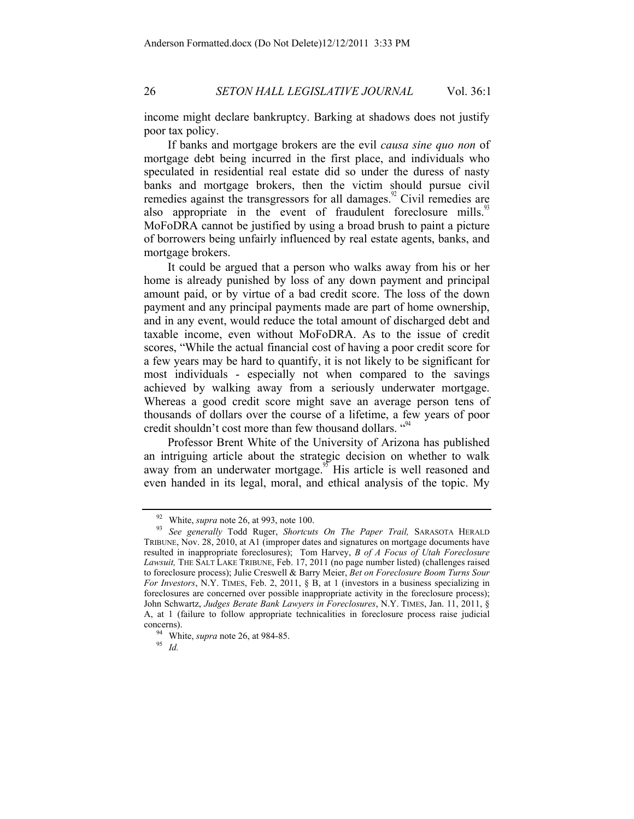income might declare bankruptcy. Barking at shadows does not justify poor tax policy.

If banks and mortgage brokers are the evil *causa sine quo non* of mortgage debt being incurred in the first place, and individuals who speculated in residential real estate did so under the duress of nasty banks and mortgage brokers, then the victim should pursue civil remedies against the transgressors for all damages.<sup>92</sup> Civil remedies are also appropriate in the event of fraudulent foreclosure mills.<sup>93</sup> MoFoDRA cannot be justified by using a broad brush to paint a picture of borrowers being unfairly influenced by real estate agents, banks, and mortgage brokers.

It could be argued that a person who walks away from his or her home is already punished by loss of any down payment and principal amount paid, or by virtue of a bad credit score. The loss of the down payment and any principal payments made are part of home ownership, and in any event, would reduce the total amount of discharged debt and taxable income, even without MoFoDRA. As to the issue of credit scores, "While the actual financial cost of having a poor credit score for a few years may be hard to quantify, it is not likely to be significant for most individuals - especially not when compared to the savings achieved by walking away from a seriously underwater mortgage. Whereas a good credit score might save an average person tens of thousands of dollars over the course of a lifetime, a few years of poor credit shouldn't cost more than few thousand dollars.  $\cdot^{94}$ 

Professor Brent White of the University of Arizona has published an intriguing article about the strategic decision on whether to walk away from an underwater mortgage.<sup>95</sup> His article is well reasoned and even handed in its legal, moral, and ethical analysis of the topic. My

<sup>92</sup> White, *supra* note 26, at 993, note 100. 93 *See generally* Todd Ruger, *Shortcuts On The Paper Trail,* SARASOTA HERALD TRIBUNE, Nov. 28, 2010, at A1 (improper dates and signatures on mortgage documents have resulted in inappropriate foreclosures); Tom Harvey, *B of A Focus of Utah Foreclosure Lawsuit,* THE SALT LAKE TRIBUNE, Feb. 17, 2011 (no page number listed) (challenges raised to foreclosure process); Julie Creswell & Barry Meier, *Bet on Foreclosure Boom Turns Sour For Investors*, N.Y. TIMES, Feb. 2, 2011, § B, at 1 (investors in a business specializing in foreclosures are concerned over possible inappropriate activity in the foreclosure process); John Schwartz, *Judges Berate Bank Lawyers in Foreclosures*, N.Y. TIMES, Jan. 11, 2011, § A, at 1 (failure to follow appropriate technicalities in foreclosure process raise judicial concerns). 94 White, *supra* note 26, at 984-85. 95 *Id.*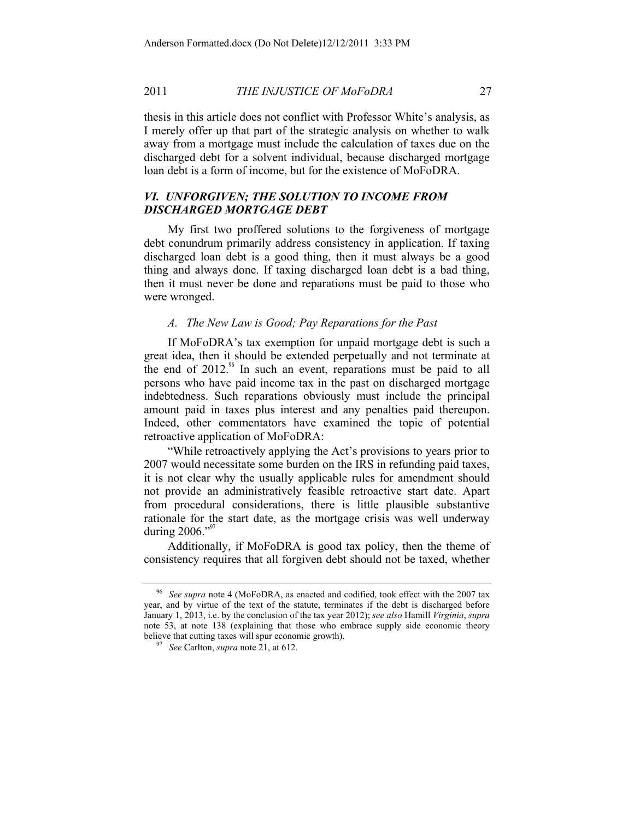thesis in this article does not conflict with Professor White's analysis, as I merely offer up that part of the strategic analysis on whether to walk away from a mortgage must include the calculation of taxes due on the discharged debt for a solvent individual, because discharged mortgage loan debt is a form of income, but for the existence of MoFoDRA.

# *VI. UNFORGIVEN; THE SOLUTION TO INCOME FROM DISCHARGED MORTGAGE DEBT*

My first two proffered solutions to the forgiveness of mortgage debt conundrum primarily address consistency in application. If taxing discharged loan debt is a good thing, then it must always be a good thing and always done. If taxing discharged loan debt is a bad thing, then it must never be done and reparations must be paid to those who were wronged.

#### *A. The New Law is Good; Pay Reparations for the Past*

If MoFoDRA's tax exemption for unpaid mortgage debt is such a great idea, then it should be extended perpetually and not terminate at the end of  $2012<sup>96</sup>$  In such an event, reparations must be paid to all persons who have paid income tax in the past on discharged mortgage indebtedness. Such reparations obviously must include the principal amount paid in taxes plus interest and any penalties paid thereupon. Indeed, other commentators have examined the topic of potential retroactive application of MoFoDRA:

"While retroactively applying the Act's provisions to years prior to 2007 would necessitate some burden on the IRS in refunding paid taxes, it is not clear why the usually applicable rules for amendment should not provide an administratively feasible retroactive start date. Apart from procedural considerations, there is little plausible substantive rationale for the start date, as the mortgage crisis was well underway during  $2006."$ <sup>97</sup>

Additionally, if MoFoDRA is good tax policy, then the theme of consistency requires that all forgiven debt should not be taxed, whether

<sup>96</sup> *See supra* note 4 (MoFoDRA, as enacted and codified, took effect with the 2007 tax year, and by virtue of the text of the statute, terminates if the debt is discharged before January 1, 2013, i.e. by the conclusion of the tax year 2012); *see also* Hamill *Virginia*, *supra*  note 53, at note 138 (explaining that those who embrace supply side economic theory believe that cutting taxes will spur economic growth). 97 *See* Carlton, *supra* note 21, at 612.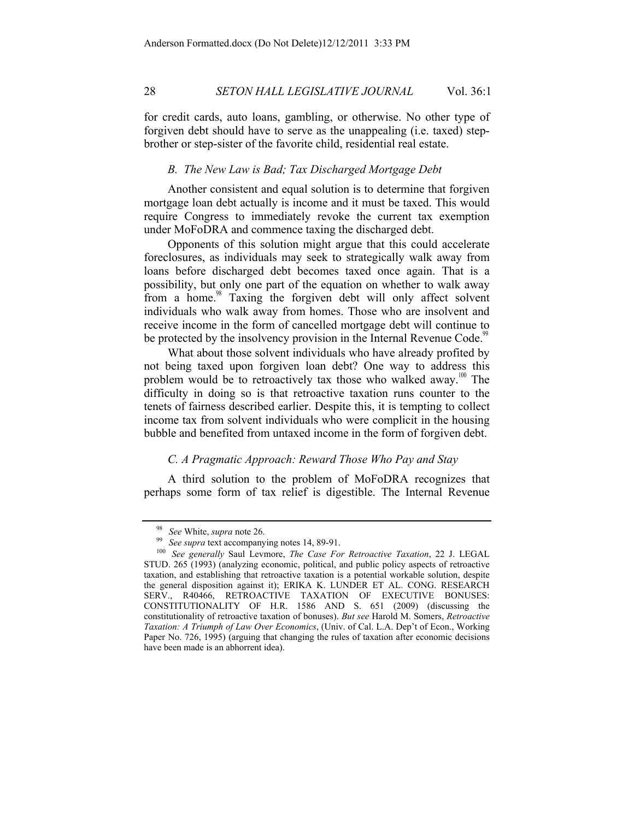for credit cards, auto loans, gambling, or otherwise. No other type of forgiven debt should have to serve as the unappealing (i.e. taxed) stepbrother or step-sister of the favorite child, residential real estate.

#### *B. The New Law is Bad; Tax Discharged Mortgage Debt*

Another consistent and equal solution is to determine that forgiven mortgage loan debt actually is income and it must be taxed. This would require Congress to immediately revoke the current tax exemption under MoFoDRA and commence taxing the discharged debt.

Opponents of this solution might argue that this could accelerate foreclosures, as individuals may seek to strategically walk away from loans before discharged debt becomes taxed once again. That is a possibility, but only one part of the equation on whether to walk away from a home.<sup>98</sup> Taxing the forgiven debt will only affect solvent individuals who walk away from homes. Those who are insolvent and receive income in the form of cancelled mortgage debt will continue to be protected by the insolvency provision in the Internal Revenue Code.<sup>9</sup>

What about those solvent individuals who have already profited by not being taxed upon forgiven loan debt? One way to address this problem would be to retroactively tax those who walked away.<sup>100</sup> The difficulty in doing so is that retroactive taxation runs counter to the tenets of fairness described earlier. Despite this, it is tempting to collect income tax from solvent individuals who were complicit in the housing bubble and benefited from untaxed income in the form of forgiven debt.

## *C. A Pragmatic Approach: Reward Those Who Pay and Stay*

A third solution to the problem of MoFoDRA recognizes that perhaps some form of tax relief is digestible. The Internal Revenue

<sup>98</sup> *See* White, *supra* note 26. 99 *See supra* text accompanying notes 14, 89-91. 100 *See generally* Saul Levmore, *The Case For Retroactive Taxation*, 22 J. LEGAL STUD. 265 (1993) (analyzing economic, political, and public policy aspects of retroactive taxation, and establishing that retroactive taxation is a potential workable solution, despite the general disposition against it); ERIKA K. LUNDER ET AL. CONG. RESEARCH SERV., R40466, RETROACTIVE TAXATION OF EXECUTIVE BONUSES: CONSTITUTIONALITY OF H.R. 1586 AND S. 651 (2009) (discussing the constitutionality of retroactive taxation of bonuses). *But see* Harold M. Somers, *Retroactive Taxation: A Triumph of Law Over Economics*, (Univ. of Cal. L.A. Dep't of Econ., Working Paper No. 726, 1995) (arguing that changing the rules of taxation after economic decisions have been made is an abhorrent idea).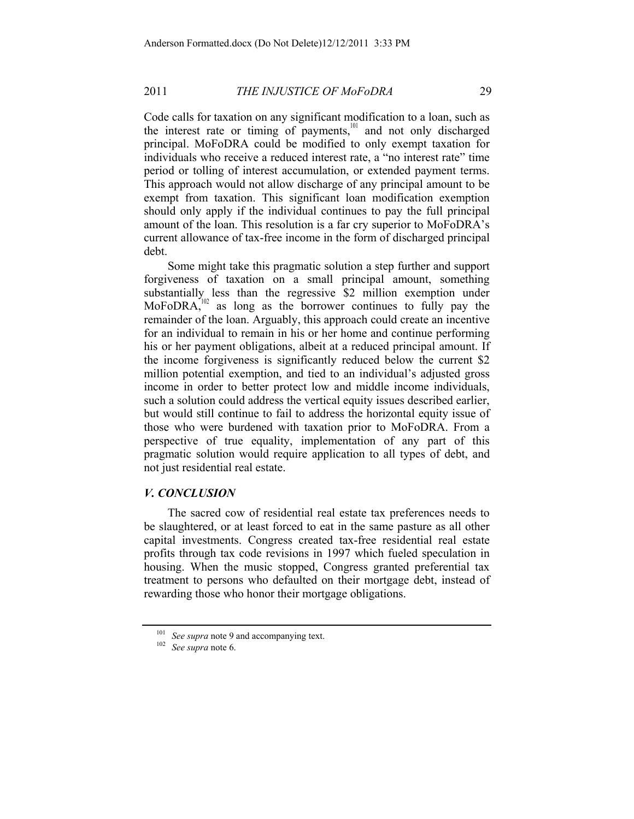Code calls for taxation on any significant modification to a loan, such as the interest rate or timing of payments,<sup>101</sup> and not only discharged principal. MoFoDRA could be modified to only exempt taxation for individuals who receive a reduced interest rate, a "no interest rate" time period or tolling of interest accumulation, or extended payment terms. This approach would not allow discharge of any principal amount to be exempt from taxation. This significant loan modification exemption should only apply if the individual continues to pay the full principal amount of the loan. This resolution is a far cry superior to MoFoDRA's current allowance of tax-free income in the form of discharged principal debt.

Some might take this pragmatic solution a step further and support forgiveness of taxation on a small principal amount, something substantially less than the regressive \$2 million exemption under MoFoDRA, $102$  as long as the borrower continues to fully pay the remainder of the loan. Arguably, this approach could create an incentive for an individual to remain in his or her home and continue performing his or her payment obligations, albeit at a reduced principal amount. If the income forgiveness is significantly reduced below the current \$2 million potential exemption, and tied to an individual's adjusted gross income in order to better protect low and middle income individuals, such a solution could address the vertical equity issues described earlier, but would still continue to fail to address the horizontal equity issue of those who were burdened with taxation prior to MoFoDRA. From a perspective of true equality, implementation of any part of this pragmatic solution would require application to all types of debt, and not just residential real estate.

# *V. CONCLUSION*

The sacred cow of residential real estate tax preferences needs to be slaughtered, or at least forced to eat in the same pasture as all other capital investments. Congress created tax-free residential real estate profits through tax code revisions in 1997 which fueled speculation in housing. When the music stopped, Congress granted preferential tax treatment to persons who defaulted on their mortgage debt, instead of rewarding those who honor their mortgage obligations.

<sup>101</sup> *See supra* note 9 and accompanying text. 102 *See supra* note 6.